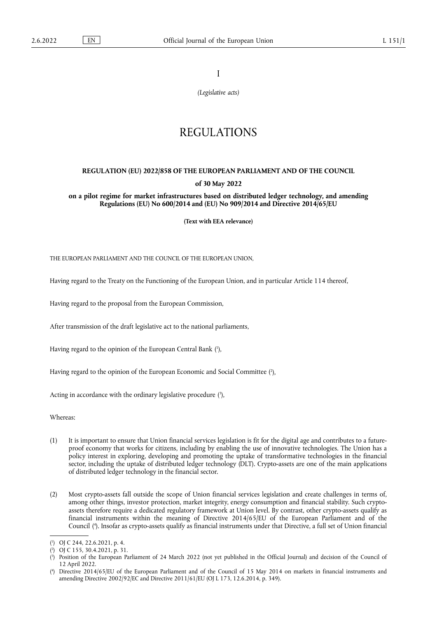I

*(Legislative acts)*

# REGULATIONS

## **REGULATION (EU) 2022/858 OF THE EUROPEAN PARLIAMENT AND OF THE COUNCIL of 30 May 2022**

**on a pilot regime for market infrastructures based on distributed ledger technology, and amending Regulations (EU) No 600/2014 and (EU) No 909/2014 and Directive 2014/65/EU** 

**(Text with EEA relevance)** 

THE EUROPEAN PARLIAMENT AND THE COUNCIL OF THE EUROPEAN UNION,

Having regard to the Treaty on the Functioning of the European Union, and in particular Article 114 thereof,

Having regard to the proposal from the European Commission,

After transmission of the draft legislative act to the national parliaments,

<span id="page-0-4"></span>Having regard to the opinion of the European Central Bank ( 1 [\),](#page-0-0)

<span id="page-0-5"></span>Having regard to the opinion of the European Economic and Social Committee ( 2 [\),](#page-0-1)

<span id="page-0-6"></span>Acting in accordance with the ordinary legislative procedure [\(](#page-0-2)3),

Whereas:

- (1) It is important to ensure that Union financial services legislation is fit for the digital age and contributes to a futureproof economy that works for citizens, including by enabling the use of innovative technologies. The Union has a policy interest in exploring, developing and promoting the uptake of transformative technologies in the financial sector, including the uptake of distributed ledger technology (DLT). Crypto-assets are one of the main applications of distributed ledger technology in the financial sector.
- (2) Most crypto-assets fall outside the scope of Union financial services legislation and create challenges in terms of, among other things, investor protection, market integrity, energy consumption and financial stability. Such cryptoassets therefore require a dedicated regulatory framework at Union level. By contrast, other crypto-assets qualify as financial instruments within the meaning of Directive 2014/65/EU of the European Parliament and of the Council [\(](#page-0-3) 4 ). Insofar as crypto-assets qualify as financial instruments under that Directive, a full set of Union financial

<span id="page-0-1"></span>[\(](#page-0-5) 2 ) OJ C 155, 30.4.2021, p. 31.

<span id="page-0-7"></span><span id="page-0-0"></span>[<sup>\(</sup>](#page-0-4) 1 ) OJ C 244, 22.6.2021, p. 4.

<span id="page-0-2"></span>[<sup>\(</sup>](#page-0-6) 3 ) Position of the European Parliament of 24 March 2022 (not yet published in the Official Journal) and decision of the Council of 12 April 2022.

<span id="page-0-3"></span>[<sup>\(</sup>](#page-0-7) 4 ) Directive 2014/65/EU of the European Parliament and of the Council of 15 May 2014 on markets in financial instruments and amending Directive 2002/92/EC and Directive 2011/61/EU (OJ L 173, 12.6.2014, p. 349).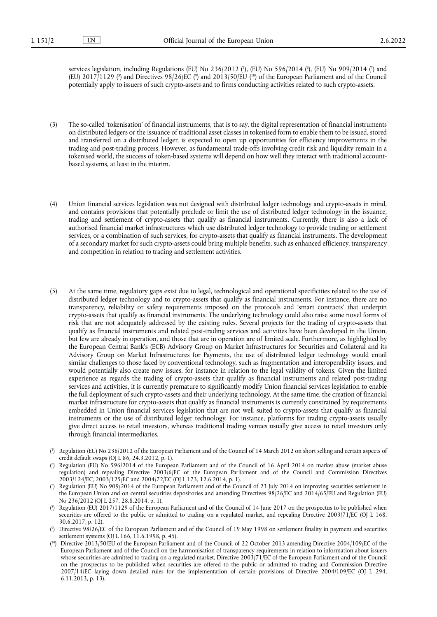<span id="page-1-7"></span><span id="page-1-6"></span>services legislation, including Regulations [\(](#page-1-2)EU) No 236/2012 (シ, (EU) No 596/2014 (%, (EU) No 909/2014 (?) and [\(](#page-1-4)EU) 2017/1129 (\*) and Directives 98/26/EC (\*) and 2013/50/EU (<sup>10</sup>) of the European Parliament and of the Council potentially apply to issuers of such crypto-assets and to firms conducting activities related to such crypto-assets.

- (3) The so-called 'tokenisation' of financial instruments, that is to say, the digital representation of financial instruments on distributed ledgers or the issuance of traditional asset classes in tokenised form to enable them to be issued, stored and transferred on a distributed ledger, is expected to open up opportunities for efficiency improvements in the trading and post-trading process. However, as fundamental trade-offs involving credit risk and liquidity remain in a tokenised world, the success of token-based systems will depend on how well they interact with traditional accountbased systems, at least in the interim.
- (4) Union financial services legislation was not designed with distributed ledger technology and crypto-assets in mind, and contains provisions that potentially preclude or limit the use of distributed ledger technology in the issuance, trading and settlement of crypto-assets that qualify as financial instruments. Currently, there is also a lack of authorised financial market infrastructures which use distributed ledger technology to provide trading or settlement services, or a combination of such services, for crypto-assets that qualify as financial instruments. The development of a secondary market for such crypto-assets could bring multiple benefits, such as enhanced efficiency, transparency and competition in relation to trading and settlement activities.
- (5) At the same time, regulatory gaps exist due to legal, technological and operational specificities related to the use of distributed ledger technology and to crypto-assets that qualify as financial instruments. For instance, there are no transparency, reliability or safety requirements imposed on the protocols and 'smart contracts' that underpin crypto-assets that qualify as financial instruments. The underlying technology could also raise some novel forms of risk that are not adequately addressed by the existing rules. Several projects for the trading of crypto-assets that qualify as financial instruments and related post-trading services and activities have been developed in the Union, but few are already in operation, and those that are in operation are of limited scale. Furthermore, as highlighted by the European Central Bank's (ECB) Advisory Group on Market Infrastructures for Securities and Collateral and its Advisory Group on Market Infrastructures for Payments, the use of distributed ledger technology would entail similar challenges to those faced by conventional technology, such as fragmentation and interoperability issues, and would potentially also create new issues, for instance in relation to the legal validity of tokens. Given the limited experience as regards the trading of crypto-assets that qualify as financial instruments and related post-trading services and activities, it is currently premature to significantly modify Union financial services legislation to enable the full deployment of such crypto-assets and their underlying technology. At the same time, the creation of financial market infrastructure for crypto-assets that qualify as financial instruments is currently constrained by requirements embedded in Union financial services legislation that are not well suited to crypto-assets that qualify as financial instruments or the use of distributed ledger technology. For instance, platforms for trading crypto-assets usually give direct access to retail investors, whereas traditional trading venues usually give access to retail investors only through financial intermediaries.

<span id="page-1-3"></span>[\(](#page-1-7) 8 ) Regulation (EU) 2017/1129 of the European Parliament and of the Council of 14 June 2017 on the prospectus to be published when securities are offered to the public or admitted to trading on a regulated market, and repealing Directive 2003/71/EC (OJ L 168, 30.6.2017, p. 12).

<span id="page-1-0"></span>[<sup>\(</sup>](#page-1-6) 5 ) Regulation (EU) No 236/2012 of the European Parliament and of the Council of 14 March 2012 on short selling and certain aspects of credit default swaps (OJ L 86, 24.3.2012, p. 1).

<span id="page-1-1"></span>[<sup>\(</sup>](#page-1-6) 6 ) Regulation (EU) No 596/2014 of the European Parliament and of the Council of 16 April 2014 on market abuse (market abuse regulation) and repealing Directive 2003/6/EC of the European Parliament and of the Council and Commission Directives 2003/124/EC, 2003/125/EC and 2004/72/EC (OJ L 173, 12.6.2014, p. 1).

<span id="page-1-2"></span>[<sup>\(</sup>](#page-1-6) 7 ) Regulation (EU) No 909/2014 of the European Parliament and of the Council of 23 July 2014 on improving securities settlement in the European Union and on central securities depositories and amending Directives 98/26/EC and 2014/65/EU and Regulation (EU) No 236/2012 (OJ L 257, 28.8.2014, p. 1).

<span id="page-1-4"></span>[<sup>\(</sup>](#page-1-7) 9 ) Directive 98/26/EC of the European Parliament and of the Council of 19 May 1998 on settlement finality in payment and securities settlement systems (OJ L 166, 11.6.1998, p. 45).

<span id="page-1-5"></span><sup>(</sup> [10\)](#page-1-7) Directive 2013/50/EU of the European Parliament and of the Council of 22 October 2013 amending Directive 2004/109/EC of the European Parliament and of the Council on the harmonisation of transparency requirements in relation to information about issuers whose securities are admitted to trading on a regulated market, Directive 2003/71/EC of the European Parliament and of the Council on the prospectus to be published when securities are offered to the public or admitted to trading and Commission Directive 2007/14/EC laying down detailed rules for the implementation of certain provisions of Directive 2004/109/EC (OJ L 294, 6.11.2013, p. 13).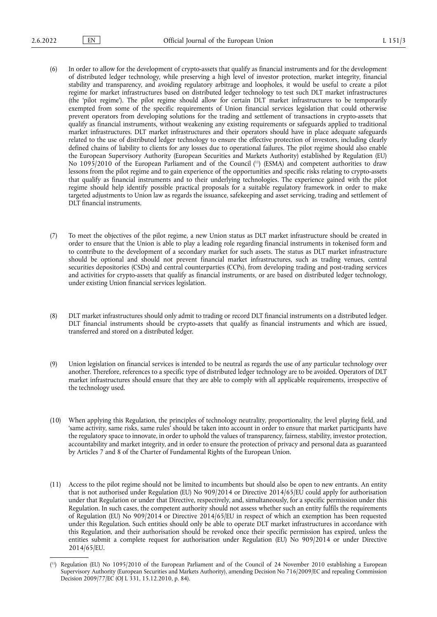- (6) In order to allow for the development of crypto-assets that qualify as financial instruments and for the development of distributed ledger technology, while preserving a high level of investor protection, market integrity, financial stability and transparency, and avoiding regulatory arbitrage and loopholes, it would be useful to create a pilot regime for market infrastructures based on distributed ledger technology to test such DLT market infrastructures (the 'pilot regime'). The pilot regime should allow for certain DLT market infrastructures to be temporarily exempted from some of the specific requirements of Union financial services legislation that could otherwise prevent operators from developing solutions for the trading and settlement of transactions in crypto-assets that qualify as financial instruments, without weakening any existing requirements or safeguards applied to traditional market infrastructures. DLT market infrastructures and their operators should have in place adequate safeguards related to the use of distributed ledger technology to ensure the effective protection of investors, including clearly defined chains of liability to clients for any losses due to operational failures. The pilot regime should also enable the European Supervisory Authority (European Securities and Markets Authority) established by Regulation (EU) No 1095/2010 of the European Parliament and of the Council ( [11\)](#page-2-0) (ESMA) and competent authorities to draw lessons from the pilot regime and to gain experience of the opportunities and specific risks relating to crypto-assets that qualify as financial instruments and to their underlying technologies. The experience gained with the pilot regime should help identify possible practical proposals for a suitable regulatory framework in order to make targeted adjustments to Union law as regards the issuance, safekeeping and asset servicing, trading and settlement of DLT financial instruments.
- <span id="page-2-1"></span>(7) To meet the objectives of the pilot regime, a new Union status as DLT market infrastructure should be created in order to ensure that the Union is able to play a leading role regarding financial instruments in tokenised form and to contribute to the development of a secondary market for such assets. The status as DLT market infrastructure should be optional and should not prevent financial market infrastructures, such as trading venues, central securities depositories (CSDs) and central counterparties (CCPs), from developing trading and post-trading services and activities for crypto-assets that qualify as financial instruments, or are based on distributed ledger technology, under existing Union financial services legislation.
- (8) DLT market infrastructures should only admit to trading or record DLT financial instruments on a distributed ledger. DLT financial instruments should be crypto-assets that qualify as financial instruments and which are issued, transferred and stored on a distributed ledger.
- (9) Union legislation on financial services is intended to be neutral as regards the use of any particular technology over another. Therefore, references to a specific type of distributed ledger technology are to be avoided. Operators of DLT market infrastructures should ensure that they are able to comply with all applicable requirements, irrespective of the technology used.
- (10) When applying this Regulation, the principles of technology neutrality, proportionality, the level playing field, and 'same activity, same risks, same rules' should be taken into account in order to ensure that market participants have the regulatory space to innovate, in order to uphold the values of transparency, fairness, stability, investor protection, accountability and market integrity, and in order to ensure the protection of privacy and personal data as guaranteed by Articles 7 and 8 of the Charter of Fundamental Rights of the European Union.
- (11) Access to the pilot regime should not be limited to incumbents but should also be open to new entrants. An entity that is not authorised under Regulation (EU) No 909/2014 or Directive 2014/65/EU could apply for authorisation under that Regulation or under that Directive, respectively, and, simultaneously, for a specific permission under this Regulation. In such cases, the competent authority should not assess whether such an entity fulfils the requirements of Regulation (EU) No 909/2014 or Directive 2014/65/EU in respect of which an exemption has been requested under this Regulation. Such entities should only be able to operate DLT market infrastructures in accordance with this Regulation, and their authorisation should be revoked once their specific permission has expired, unless the entities submit a complete request for authorisation under Regulation (EU) No 909/2014 or under Directive 2014/65/EU.

<span id="page-2-0"></span><sup>(</sup> [11\)](#page-2-1) Regulation (EU) No 1095/2010 of the European Parliament and of the Council of 24 November 2010 establishing a European Supervisory Authority (European Securities and Markets Authority), amending Decision No 716/2009/EC and repealing Commission Decision 2009/77/EC (OJ L 331, 15.12.2010, p. 84).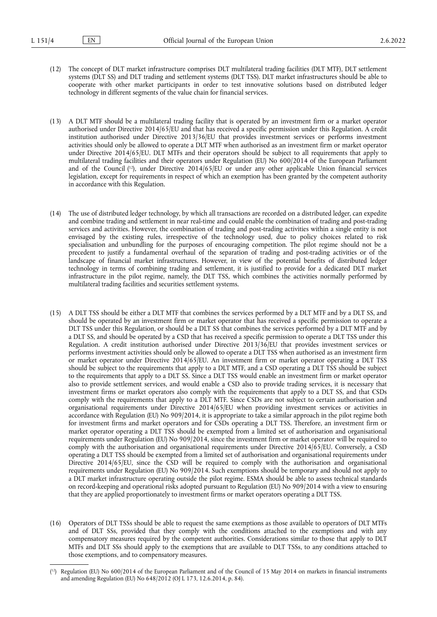- (12) The concept of DLT market infrastructure comprises DLT multilateral trading facilities (DLT MTF), DLT settlement systems (DLT SS) and DLT trading and settlement systems (DLT TSS). DLT market infrastructures should be able to cooperate with other market participants in order to test innovative solutions based on distributed ledger technology in different segments of the value chain for financial services.
- <span id="page-3-1"></span>(13) A DLT MTF should be a multilateral trading facility that is operated by an investment firm or a market operator authorised under Directive 2014/65/EU and that has received a specific permission under this Regulation. A credit institution authorised under Directive 2013/36/EU that provides investment services or performs investment activities should only be allowed to operate a DLT MTF when authorised as an investment firm or market operator under Directive 2014/65/EU. DLT MTFs and their operators should be subject to all requirements that apply to multilateral trading facilities and their operators under Regulation (EU) No 600/2014 of the European Parliament and of the Council ( [12\),](#page-3-0) under Directive 2014/65/EU or under any other applicable Union financial services legislation, except for requirements in respect of which an exemption has been granted by the competent authority in accordance with this Regulation.
- (14) The use of distributed ledger technology, by which all transactions are recorded on a distributed ledger, can expedite and combine trading and settlement in near real-time and could enable the combination of trading and post-trading services and activities. However, the combination of trading and post-trading activities within a single entity is not envisaged by the existing rules, irrespective of the technology used, due to policy choices related to risk specialisation and unbundling for the purposes of encouraging competition. The pilot regime should not be a precedent to justify a fundamental overhaul of the separation of trading and post-trading activities or of the landscape of financial market infrastructures. However, in view of the potential benefits of distributed ledger technology in terms of combining trading and settlement, it is justified to provide for a dedicated DLT market infrastructure in the pilot regime, namely, the DLT TSS, which combines the activities normally performed by multilateral trading facilities and securities settlement systems.
- (15) A DLT TSS should be either a DLT MTF that combines the services performed by a DLT MTF and by a DLT SS, and should be operated by an investment firm or market operator that has received a specific permission to operate a DLT TSS under this Regulation, or should be a DLT SS that combines the services performed by a DLT MTF and by a DLT SS, and should be operated by a CSD that has received a specific permission to operate a DLT TSS under this Regulation. A credit institution authorised under Directive 2013/36/EU that provides investment services or performs investment activities should only be allowed to operate a DLT TSS when authorised as an investment firm or market operator under Directive 2014/65/EU. An investment firm or market operator operating a DLT TSS should be subject to the requirements that apply to a DLT MTF, and a CSD operating a DLT TSS should be subject to the requirements that apply to a DLT SS. Since a DLT TSS would enable an investment firm or market operator also to provide settlement services, and would enable a CSD also to provide trading services, it is necessary that investment firms or market operators also comply with the requirements that apply to a DLT SS, and that CSDs comply with the requirements that apply to a DLT MTF. Since CSDs are not subject to certain authorisation and organisational requirements under Directive 2014/65/EU when providing investment services or activities in accordance with Regulation (EU) No 909/2014, it is appropriate to take a similar approach in the pilot regime both for investment firms and market operators and for CSDs operating a DLT TSS. Therefore, an investment firm or market operator operating a DLT TSS should be exempted from a limited set of authorisation and organisational requirements under Regulation (EU) No 909/2014, since the investment firm or market operator will be required to comply with the authorisation and organisational requirements under Directive 2014/65/EU. Conversely, a CSD operating a DLT TSS should be exempted from a limited set of authorisation and organisational requirements under Directive 2014/65/EU, since the CSD will be required to comply with the authorisation and organisational requirements under Regulation (EU) No 909/2014. Such exemptions should be temporary and should not apply to a DLT market infrastructure operating outside the pilot regime. ESMA should be able to assess technical standards on record-keeping and operational risks adopted pursuant to Regulation (EU) No 909/2014 with a view to ensuring that they are applied proportionately to investment firms or market operators operating a DLT TSS.
- (16) Operators of DLT TSSs should be able to request the same exemptions as those available to operators of DLT MTFs and of DLT SSs, provided that they comply with the conditions attached to the exemptions and with any compensatory measures required by the competent authorities. Considerations similar to those that apply to DLT MTFs and DLT SSs should apply to the exemptions that are available to DLT TSSs, to any conditions attached to those exemptions, and to compensatory measures.

<span id="page-3-0"></span><sup>(</sup> [12\)](#page-3-1) Regulation (EU) No 600/2014 of the European Parliament and of the Council of 15 May 2014 on markets in financial instruments and amending Regulation (EU) No 648/2012 (OJ L 173, 12.6.2014, p. 84).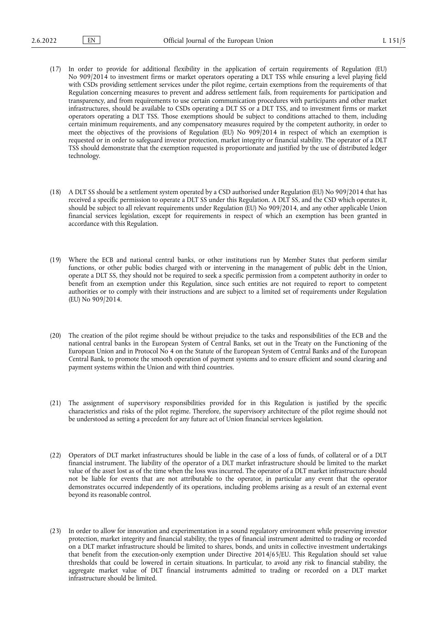- (17) In order to provide for additional flexibility in the application of certain requirements of Regulation (EU) No 909/2014 to investment firms or market operators operating a DLT TSS while ensuring a level playing field with CSDs providing settlement services under the pilot regime, certain exemptions from the requirements of that Regulation concerning measures to prevent and address settlement fails, from requirements for participation and transparency, and from requirements to use certain communication procedures with participants and other market infrastructures, should be available to CSDs operating a DLT SS or a DLT TSS, and to investment firms or market operators operating a DLT TSS. Those exemptions should be subject to conditions attached to them, including certain minimum requirements, and any compensatory measures required by the competent authority, in order to meet the objectives of the provisions of Regulation (EU) No 909/2014 in respect of which an exemption is requested or in order to safeguard investor protection, market integrity or financial stability. The operator of a DLT TSS should demonstrate that the exemption requested is proportionate and justified by the use of distributed ledger technology.
- (18) A DLT SS should be a settlement system operated by a CSD authorised under Regulation (EU) No 909/2014 that has received a specific permission to operate a DLT SS under this Regulation. A DLT SS, and the CSD which operates it, should be subject to all relevant requirements under Regulation (EU) No 909/2014, and any other applicable Union financial services legislation, except for requirements in respect of which an exemption has been granted in accordance with this Regulation.
- (19) Where the ECB and national central banks, or other institutions run by Member States that perform similar functions, or other public bodies charged with or intervening in the management of public debt in the Union, operate a DLT SS, they should not be required to seek a specific permission from a competent authority in order to benefit from an exemption under this Regulation, since such entities are not required to report to competent authorities or to comply with their instructions and are subject to a limited set of requirements under Regulation (EU) No 909/2014.
- (20) The creation of the pilot regime should be without prejudice to the tasks and responsibilities of the ECB and the national central banks in the European System of Central Banks, set out in the Treaty on the Functioning of the European Union and in Protocol No 4 on the Statute of the European System of Central Banks and of the European Central Bank, to promote the smooth operation of payment systems and to ensure efficient and sound clearing and payment systems within the Union and with third countries.
- (21) The assignment of supervisory responsibilities provided for in this Regulation is justified by the specific characteristics and risks of the pilot regime. Therefore, the supervisory architecture of the pilot regime should not be understood as setting a precedent for any future act of Union financial services legislation.
- (22) Operators of DLT market infrastructures should be liable in the case of a loss of funds, of collateral or of a DLT financial instrument. The liability of the operator of a DLT market infrastructure should be limited to the market value of the asset lost as of the time when the loss was incurred. The operator of a DLT market infrastructure should not be liable for events that are not attributable to the operator, in particular any event that the operator demonstrates occurred independently of its operations, including problems arising as a result of an external event beyond its reasonable control.
- (23) In order to allow for innovation and experimentation in a sound regulatory environment while preserving investor protection, market integrity and financial stability, the types of financial instrument admitted to trading or recorded on a DLT market infrastructure should be limited to shares, bonds, and units in collective investment undertakings that benefit from the execution-only exemption under Directive 2014/65/EU. This Regulation should set value thresholds that could be lowered in certain situations. In particular, to avoid any risk to financial stability, the aggregate market value of DLT financial instruments admitted to trading or recorded on a DLT market infrastructure should be limited.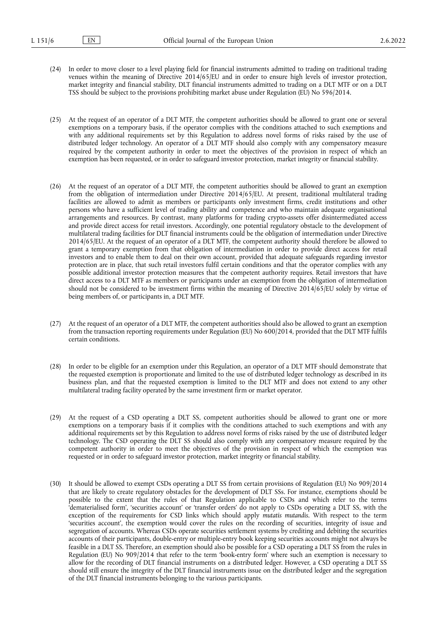- (24) In order to move closer to a level playing field for financial instruments admitted to trading on traditional trading venues within the meaning of Directive 2014/65/EU and in order to ensure high levels of investor protection, market integrity and financial stability, DLT financial instruments admitted to trading on a DLT MTF or on a DLT TSS should be subject to the provisions prohibiting market abuse under Regulation (EU) No 596/2014.
- (25) At the request of an operator of a DLT MTF, the competent authorities should be allowed to grant one or several exemptions on a temporary basis, if the operator complies with the conditions attached to such exemptions and with any additional requirements set by this Regulation to address novel forms of risks raised by the use of distributed ledger technology. An operator of a DLT MTF should also comply with any compensatory measure required by the competent authority in order to meet the objectives of the provision in respect of which an exemption has been requested, or in order to safeguard investor protection, market integrity or financial stability.
- (26) At the request of an operator of a DLT MTF, the competent authorities should be allowed to grant an exemption from the obligation of intermediation under Directive 2014/65/EU. At present, traditional multilateral trading facilities are allowed to admit as members or participants only investment firms, credit institutions and other persons who have a sufficient level of trading ability and competence and who maintain adequate organisational arrangements and resources. By contrast, many platforms for trading crypto-assets offer disintermediated access and provide direct access for retail investors. Accordingly, one potential regulatory obstacle to the development of multilateral trading facilities for DLT financial instruments could be the obligation of intermediation under Directive 2014/65/EU. At the request of an operator of a DLT MTF, the competent authority should therefore be allowed to grant a temporary exemption from that obligation of intermediation in order to provide direct access for retail investors and to enable them to deal on their own account, provided that adequate safeguards regarding investor protection are in place, that such retail investors fulfil certain conditions and that the operator complies with any possible additional investor protection measures that the competent authority requires. Retail investors that have direct access to a DLT MTF as members or participants under an exemption from the obligation of intermediation should not be considered to be investment firms within the meaning of Directive 2014/65/EU solely by virtue of being members of, or participants in, a DLT MTF.
- (27) At the request of an operator of a DLT MTF, the competent authorities should also be allowed to grant an exemption from the transaction reporting requirements under Regulation (EU) No 600/2014, provided that the DLT MTF fulfils certain conditions.
- (28) In order to be eligible for an exemption under this Regulation, an operator of a DLT MTF should demonstrate that the requested exemption is proportionate and limited to the use of distributed ledger technology as described in its business plan, and that the requested exemption is limited to the DLT MTF and does not extend to any other multilateral trading facility operated by the same investment firm or market operator.
- (29) At the request of a CSD operating a DLT SS, competent authorities should be allowed to grant one or more exemptions on a temporary basis if it complies with the conditions attached to such exemptions and with any additional requirements set by this Regulation to address novel forms of risks raised by the use of distributed ledger technology. The CSD operating the DLT SS should also comply with any compensatory measure required by the competent authority in order to meet the objectives of the provision in respect of which the exemption was requested or in order to safeguard investor protection, market integrity or financial stability.
- (30) It should be allowed to exempt CSDs operating a DLT SS from certain provisions of Regulation (EU) No 909/2014 that are likely to create regulatory obstacles for the development of DLT SSs. For instance, exemptions should be possible to the extent that the rules of that Regulation applicable to CSDs and which refer to the terms 'dematerialised form', 'securities account' or 'transfer orders' do not apply to CSDs operating a DLT SS, with the exception of the requirements for CSD links which should apply *mutatis mutandis*. With respect to the term 'securities account', the exemption would cover the rules on the recording of securities, integrity of issue and segregation of accounts. Whereas CSDs operate securities settlement systems by crediting and debiting the securities accounts of their participants, double-entry or multiple-entry book keeping securities accounts might not always be feasible in a DLT SS. Therefore, an exemption should also be possible for a CSD operating a DLT SS from the rules in Regulation (EU) No 909/2014 that refer to the term 'book-entry form' where such an exemption is necessary to allow for the recording of DLT financial instruments on a distributed ledger. However, a CSD operating a DLT SS should still ensure the integrity of the DLT financial instruments issue on the distributed ledger and the segregation of the DLT financial instruments belonging to the various participants.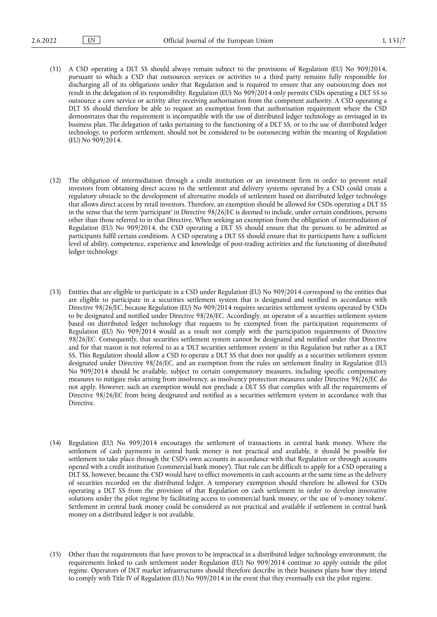- (31) A CSD operating a DLT SS should always remain subject to the provisions of Regulation (EU) No 909/2014, pursuant to which a CSD that outsources services or activities to a third party remains fully responsible for discharging all of its obligations under that Regulation and is required to ensure that any outsourcing does not result in the delegation of its responsibility. Regulation (EU) No 909/2014 only permits CSDs operating a DLT SS to outsource a core service or activity after receiving authorisation from the competent authority. A CSD operating a DLT SS should therefore be able to request an exemption from that authorisation requirement where the CSD demonstrates that the requirement is incompatible with the use of distributed ledger technology as envisaged in its business plan. The delegation of tasks pertaining to the functioning of a DLT SS, or to the use of distributed ledger technology, to perform settlement, should not be considered to be outsourcing within the meaning of Regulation (EU) No 909/2014.
- (32) The obligation of intermediation through a credit institution or an investment firm in order to prevent retail investors from obtaining direct access to the settlement and delivery systems operated by a CSD could create a regulatory obstacle to the development of alternative models of settlement based on distributed ledger technology that allows direct access by retail investors. Therefore, an exemption should be allowed for CSDs operating a DLT SS in the sense that the term 'participant' in Directive 98/26/EC is deemed to include, under certain conditions, persons other than those referred to in that Directive. When seeking an exemption from the obligation of intermediation of Regulation (EU) No 909/2014, the CSD operating a DLT SS should ensure that the persons to be admitted as participants fulfil certain conditions. A CSD operating a DLT SS should ensure that its participants have a sufficient level of ability, competence, experience and knowledge of post-trading activities and the functioning of distributed ledger technology.
- (33) Entities that are eligible to participate in a CSD under Regulation (EU) No 909/2014 correspond to the entities that are eligible to participate in a securities settlement system that is designated and notified in accordance with Directive 98/26/EC, because Regulation (EU) No 909/2014 requires securities settlement systems operated by CSDs to be designated and notified under Directive 98/26/EC. Accordingly, an operator of a securities settlement system based on distributed ledger technology that requests to be exempted from the participation requirements of Regulation (EU) No 909/2014 would as a result not comply with the participation requirements of Directive 98/26/EC. Consequently, that securities settlement system cannot be designated and notified under that Directive and for that reason is not referred to as a 'DLT securities settlement system' in this Regulation but rather as a DLT SS. This Regulation should allow a CSD to operate a DLT SS that does not qualify as a securities settlement system designated under Directive 98/26/EC, and an exemption from the rules on settlement finality in Regulation (EU) No 909/2014 should be available, subject to certain compensatory measures, including specific compensatory measures to mitigate risks arising from insolvency, as insolvency protection measures under Directive 98/26/EC do not apply. However, such an exemption would not preclude a DLT SS that complies with all the requirements of Directive 98/26/EC from being designated and notified as a securities settlement system in accordance with that Directive.
- (34) Regulation (EU) No 909/2014 encourages the settlement of transactions in central bank money. Where the settlement of cash payments in central bank money is not practical and available, it should be possible for settlement to take place through the CSD's own accounts in accordance with that Regulation or through accounts opened with a credit institution ('commercial bank money'). That rule can be difficult to apply for a CSD operating a DLT SS, however, because the CSD would have to effect movements in cash accounts at the same time as the delivery of securities recorded on the distributed ledger. A temporary exemption should therefore be allowed for CSDs operating a DLT SS from the provision of that Regulation on cash settlement in order to develop innovative solutions under the pilot regime by facilitating access to commercial bank money, or the use of 'e-money tokens'. Settlement in central bank money could be considered as not practical and available if settlement in central bank money on a distributed ledger is not available.
- (35) Other than the requirements that have proven to be impractical in a distributed ledger technology environment, the requirements linked to cash settlement under Regulation (EU) No 909/2014 continue to apply outside the pilot regime. Operators of DLT market infrastructures should therefore describe in their business plans how they intend to comply with Title IV of Regulation (EU) No 909/2014 in the event that they eventually exit the pilot regime.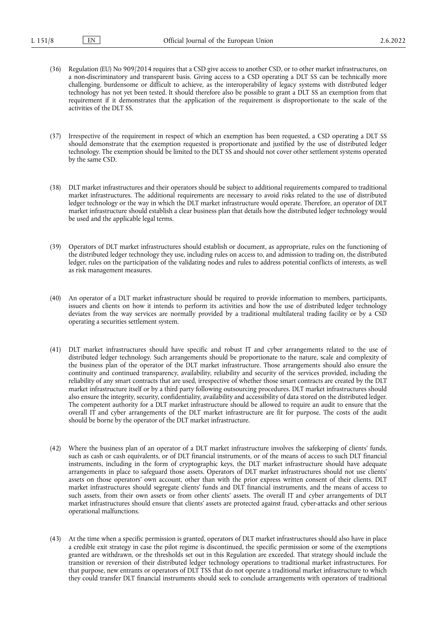- (36) Regulation (EU) No 909/2014 requires that a CSD give access to another CSD, or to other market infrastructures, on a non-discriminatory and transparent basis. Giving access to a CSD operating a DLT SS can be technically more challenging, burdensome or difficult to achieve, as the interoperability of legacy systems with distributed ledger technology has not yet been tested. It should therefore also be possible to grant a DLT SS an exemption from that requirement if it demonstrates that the application of the requirement is disproportionate to the scale of the activities of the DLT SS.
- (37) Irrespective of the requirement in respect of which an exemption has been requested, a CSD operating a DLT SS should demonstrate that the exemption requested is proportionate and justified by the use of distributed ledger technology. The exemption should be limited to the DLT SS and should not cover other settlement systems operated by the same CSD.
- (38) DLT market infrastructures and their operators should be subject to additional requirements compared to traditional market infrastructures. The additional requirements are necessary to avoid risks related to the use of distributed ledger technology or the way in which the DLT market infrastructure would operate. Therefore, an operator of DLT market infrastructure should establish a clear business plan that details how the distributed ledger technology would be used and the applicable legal terms.
- (39) Operators of DLT market infrastructures should establish or document, as appropriate, rules on the functioning of the distributed ledger technology they use, including rules on access to, and admission to trading on, the distributed ledger, rules on the participation of the validating nodes and rules to address potential conflicts of interests, as well as risk management measures.
- (40) An operator of a DLT market infrastructure should be required to provide information to members, participants, issuers and clients on how it intends to perform its activities and how the use of distributed ledger technology deviates from the way services are normally provided by a traditional multilateral trading facility or by a CSD operating a securities settlement system.
- (41) DLT market infrastructures should have specific and robust IT and cyber arrangements related to the use of distributed ledger technology. Such arrangements should be proportionate to the nature, scale and complexity of the business plan of the operator of the DLT market infrastructure. Those arrangements should also ensure the continuity and continued transparency, availability, reliability and security of the services provided, including the reliability of any smart contracts that are used, irrespective of whether those smart contracts are created by the DLT market infrastructure itself or by a third party following outsourcing procedures. DLT market infrastructures should also ensure the integrity, security, confidentiality, availability and accessibility of data stored on the distributed ledger. The competent authority for a DLT market infrastructure should be allowed to require an audit to ensure that the overall IT and cyber arrangements of the DLT market infrastructure are fit for purpose. The costs of the audit should be borne by the operator of the DLT market infrastructure.
- (42) Where the business plan of an operator of a DLT market infrastructure involves the safekeeping of clients' funds, such as cash or cash equivalents, or of DLT financial instruments, or of the means of access to such DLT financial instruments, including in the form of cryptographic keys, the DLT market infrastructure should have adequate arrangements in place to safeguard those assets. Operators of DLT market infrastructures should not use clients' assets on those operators' own account, other than with the prior express written consent of their clients. DLT market infrastructures should segregate clients' funds and DLT financial instruments, and the means of access to such assets, from their own assets or from other clients' assets. The overall IT and cyber arrangements of DLT market infrastructures should ensure that clients' assets are protected against fraud, cyber-attacks and other serious operational malfunctions.
- (43) At the time when a specific permission is granted, operators of DLT market infrastructures should also have in place a credible exit strategy in case the pilot regime is discontinued, the specific permission or some of the exemptions granted are withdrawn, or the thresholds set out in this Regulation are exceeded. That strategy should include the transition or reversion of their distributed ledger technology operations to traditional market infrastructures. For that purpose, new entrants or operators of DLT TSS that do not operate a traditional market infrastructure to which they could transfer DLT financial instruments should seek to conclude arrangements with operators of traditional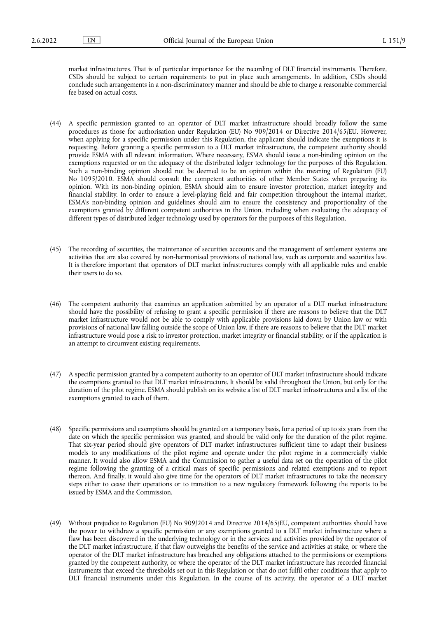market infrastructures. That is of particular importance for the recording of DLT financial instruments. Therefore, CSDs should be subject to certain requirements to put in place such arrangements. In addition, CSDs should conclude such arrangements in a non-discriminatory manner and should be able to charge a reasonable commercial fee based on actual costs.

- (44) A specific permission granted to an operator of DLT market infrastructure should broadly follow the same procedures as those for authorisation under Regulation (EU) No 909/2014 or Directive 2014/65/EU. However, when applying for a specific permission under this Regulation, the applicant should indicate the exemptions it is requesting. Before granting a specific permission to a DLT market infrastructure, the competent authority should provide ESMA with all relevant information. Where necessary, ESMA should issue a non-binding opinion on the exemptions requested or on the adequacy of the distributed ledger technology for the purposes of this Regulation. Such a non-binding opinion should not be deemed to be an opinion within the meaning of Regulation (EU) No 1095/2010. ESMA should consult the competent authorities of other Member States when preparing its opinion. With its non-binding opinion, ESMA should aim to ensure investor protection, market integrity and financial stability. In order to ensure a level-playing field and fair competition throughout the internal market, ESMA's non-binding opinion and guidelines should aim to ensure the consistency and proportionality of the exemptions granted by different competent authorities in the Union, including when evaluating the adequacy of different types of distributed ledger technology used by operators for the purposes of this Regulation.
- (45) The recording of securities, the maintenance of securities accounts and the management of settlement systems are activities that are also covered by non-harmonised provisions of national law, such as corporate and securities law. It is therefore important that operators of DLT market infrastructures comply with all applicable rules and enable their users to do so.
- (46) The competent authority that examines an application submitted by an operator of a DLT market infrastructure should have the possibility of refusing to grant a specific permission if there are reasons to believe that the DLT market infrastructure would not be able to comply with applicable provisions laid down by Union law or with provisions of national law falling outside the scope of Union law, if there are reasons to believe that the DLT market infrastructure would pose a risk to investor protection, market integrity or financial stability, or if the application is an attempt to circumvent existing requirements.
- (47) A specific permission granted by a competent authority to an operator of DLT market infrastructure should indicate the exemptions granted to that DLT market infrastructure. It should be valid throughout the Union, but only for the duration of the pilot regime. ESMA should publish on its website a list of DLT market infrastructures and a list of the exemptions granted to each of them.
- (48) Specific permissions and exemptions should be granted on a temporary basis, for a period of up to six years from the date on which the specific permission was granted, and should be valid only for the duration of the pilot regime. That six-year period should give operators of DLT market infrastructures sufficient time to adapt their business models to any modifications of the pilot regime and operate under the pilot regime in a commercially viable manner. It would also allow ESMA and the Commission to gather a useful data set on the operation of the pilot regime following the granting of a critical mass of specific permissions and related exemptions and to report thereon. And finally, it would also give time for the operators of DLT market infrastructures to take the necessary steps either to cease their operations or to transition to a new regulatory framework following the reports to be issued by ESMA and the Commission.
- (49) Without prejudice to Regulation (EU) No 909/2014 and Directive 2014/65/EU, competent authorities should have the power to withdraw a specific permission or any exemptions granted to a DLT market infrastructure where a flaw has been discovered in the underlying technology or in the services and activities provided by the operator of the DLT market infrastructure, if that flaw outweighs the benefits of the service and activities at stake, or where the operator of the DLT market infrastructure has breached any obligations attached to the permissions or exemptions granted by the competent authority, or where the operator of the DLT market infrastructure has recorded financial instruments that exceed the thresholds set out in this Regulation or that do not fulfil other conditions that apply to DLT financial instruments under this Regulation. In the course of its activity, the operator of a DLT market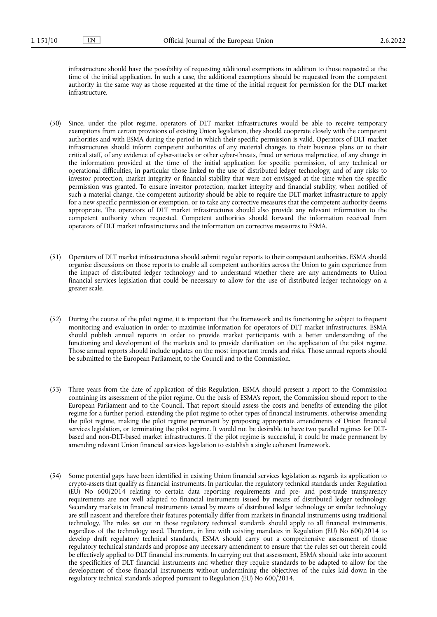infrastructure should have the possibility of requesting additional exemptions in addition to those requested at the time of the initial application. In such a case, the additional exemptions should be requested from the competent authority in the same way as those requested at the time of the initial request for permission for the DLT market infrastructure.

- (50) Since, under the pilot regime, operators of DLT market infrastructures would be able to receive temporary exemptions from certain provisions of existing Union legislation, they should cooperate closely with the competent authorities and with ESMA during the period in which their specific permission is valid. Operators of DLT market infrastructures should inform competent authorities of any material changes to their business plans or to their critical staff, of any evidence of cyber-attacks or other cyber-threats, fraud or serious malpractice, of any change in the information provided at the time of the initial application for specific permission, of any technical or operational difficulties, in particular those linked to the use of distributed ledger technology, and of any risks to investor protection, market integrity or financial stability that were not envisaged at the time when the specific permission was granted. To ensure investor protection, market integrity and financial stability, when notified of such a material change, the competent authority should be able to require the DLT market infrastructure to apply for a new specific permission or exemption, or to take any corrective measures that the competent authority deems appropriate. The operators of DLT market infrastructures should also provide any relevant information to the competent authority when requested. Competent authorities should forward the information received from operators of DLT market infrastructures and the information on corrective measures to ESMA.
- (51) Operators of DLT market infrastructures should submit regular reports to their competent authorities. ESMA should organise discussions on those reports to enable all competent authorities across the Union to gain experience from the impact of distributed ledger technology and to understand whether there are any amendments to Union financial services legislation that could be necessary to allow for the use of distributed ledger technology on a greater scale.
- (52) During the course of the pilot regime, it is important that the framework and its functioning be subject to frequent monitoring and evaluation in order to maximise information for operators of DLT market infrastructures. ESMA should publish annual reports in order to provide market participants with a better understanding of the functioning and development of the markets and to provide clarification on the application of the pilot regime. Those annual reports should include updates on the most important trends and risks. Those annual reports should be submitted to the European Parliament, to the Council and to the Commission.
- (53) Three years from the date of application of this Regulation, ESMA should present a report to the Commission containing its assessment of the pilot regime. On the basis of ESMA's report, the Commission should report to the European Parliament and to the Council. That report should assess the costs and benefits of extending the pilot regime for a further period, extending the pilot regime to other types of financial instruments, otherwise amending the pilot regime, making the pilot regime permanent by proposing appropriate amendments of Union financial services legislation, or terminating the pilot regime. It would not be desirable to have two parallel regimes for DLTbased and non-DLT-based market infrastructures. If the pilot regime is successful, it could be made permanent by amending relevant Union financial services legislation to establish a single coherent framework.
- (54) Some potential gaps have been identified in existing Union financial services legislation as regards its application to crypto-assets that qualify as financial instruments. In particular, the regulatory technical standards under Regulation (EU) No 600/2014 relating to certain data reporting requirements and pre- and post-trade transparency requirements are not well adapted to financial instruments issued by means of distributed ledger technology. Secondary markets in financial instruments issued by means of distributed ledger technology or similar technology are still nascent and therefore their features potentially differ from markets in financial instruments using traditional technology. The rules set out in those regulatory technical standards should apply to all financial instruments, regardless of the technology used. Therefore, in line with existing mandates in Regulation (EU) No 600/2014 to develop draft regulatory technical standards, ESMA should carry out a comprehensive assessment of those regulatory technical standards and propose any necessary amendment to ensure that the rules set out therein could be effectively applied to DLT financial instruments. In carrying out that assessment, ESMA should take into account the specificities of DLT financial instruments and whether they require standards to be adapted to allow for the development of those financial instruments without undermining the objectives of the rules laid down in the regulatory technical standards adopted pursuant to Regulation (EU) No 600/2014.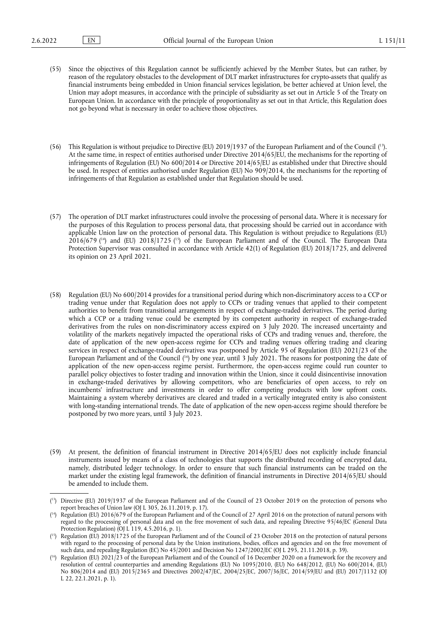- (55) Since the objectives of this Regulation cannot be sufficiently achieved by the Member States, but can rather, by reason of the regulatory obstacles to the development of DLT market infrastructures for crypto-assets that qualify as financial instruments being embedded in Union financial services legislation, be better achieved at Union level, the Union may adopt measures, in accordance with the principle of subsidiarity as set out in Article 5 of the Treaty on European Union. In accordance with the principle of proportionality as set out in that Article, this Regulation does not go beyond what is necessary in order to achieve those objectives.
- <span id="page-10-4"></span>(56) This Regulation is without prejudice to Directive (EU) 2019/1937 of the European Parliament and of the Council ( [13\)](#page-10-0). At the same time, in respect of entities authorised under Directive 2014/65/EU, the mechanisms for the reporting of infringements of Regulation (EU) No 600/2014 or Directive 2014/65/EU as established under that Directive should be used. In respect of entities authorised under Regulation (EU) No 909/2014, the mechanisms for the reporting of infringements of that Regulation as established under that Regulation should be used.
- <span id="page-10-5"></span>(57) The operation of DLT market infrastructures could involve the processing of personal data. Where it is necessary for the purposes of this Regulation to process personal data, that processing should be carried out in accordance with applicable Union law on the protection of personal data. This Regulation is without prejudice to Regulations (EU)  $2016/679$  (<sup>14</sup>) and (EU)  $2018/1725$  (<sup>15</sup>) of the European Parliament and of the Council. The European Data Protection Supervisor was consulted in accordance with Article 42(1) of Regulation (EU) 2018/1725, and delivered its opinion on 23 April 2021.
- <span id="page-10-6"></span>(58) Regulation (EU) No 600/2014 provides for a transitional period during which non-discriminatory access to a CCP or trading venue under that Regulation does not apply to CCPs or trading venues that applied to their competent authorities to benefit from transitional arrangements in respect of exchange-traded derivatives. The period during which a CCP or a trading venue could be exempted by its competent authority in respect of exchange-traded derivatives from the rules on non-discriminatory access expired on 3 July 2020. The increased uncertainty and volatility of the markets negatively impacted the operational risks of CCPs and trading venues and, therefore, the date of application of the new open-access regime for CCPs and trading venues offering trading and clearing services in respect of exchange-traded derivatives was postponed by Article 95 of Regulation (EU) 2021/23 of the European Parliament and of the Council ( [16\)](#page-10-3) by one year, until 3 July 2021. The reasons for postponing the date of application of the new open-access regime persist. Furthermore, the open-access regime could run counter to parallel policy objectives to foster trading and innovation within the Union, since it could disincentivise innovation in exchange-traded derivatives by allowing competitors, who are beneficiaries of open access, to rely on incumbents' infrastructure and investments in order to offer competing products with low upfront costs. Maintaining a system whereby derivatives are cleared and traded in a vertically integrated entity is also consistent with long-standing international trends. The date of application of the new open-access regime should therefore be postponed by two more years, until 3 July 2023.
- (59) At present, the definition of financial instrument in Directive 2014/65/EU does not explicitly include financial instruments issued by means of a class of technologies that supports the distributed recording of encrypted data, namely, distributed ledger technology. In order to ensure that such financial instruments can be traded on the market under the existing legal framework, the definition of financial instruments in Directive 2014/65/EU should be amended to include them.

<span id="page-10-0"></span><sup>(</sup> [13\)](#page-10-4) Directive (EU) 2019/1937 of the European Parliament and of the Council of 23 October 2019 on the protection of persons who report breaches of Union law (OJ L 305, 26.11.2019, p. 17).

<span id="page-10-1"></span><sup>(</sup> [14\)](#page-10-5) Regulation (EU) 2016/679 of the European Parliament and of the Council of 27 April 2016 on the protection of natural persons with regard to the processing of personal data and on the free movement of such data, and repealing Directive 95/46/EC (General Data Protection Regulation) (OJ L 119, 4.5.2016, p. 1).

<span id="page-10-2"></span><sup>(</sup> [15\)](#page-10-5) Regulation (EU) 2018/1725 of the European Parliament and of the Council of 23 October 2018 on the protection of natural persons with regard to the processing of personal data by the Union institutions, bodies, offices and agencies and on the free movement of such data, and repealing Regulation (EC) No 45/2001 and Decision No 1247/2002/EC (OJ L 295, 21.11.2018, p. 39).

<span id="page-10-3"></span><sup>(</sup> [16\)](#page-10-6) Regulation (EU) 2021/23 of the European Parliament and of the Council of 16 December 2020 on a framework for the recovery and resolution of central counterparties and amending Regulations (EU) No 1095/2010, (EU) No 648/2012, (EU) No 600/2014, (EU) No 806/2014 and (EU) 2015/2365 and Directives 2002/47/EC, 2004/25/EC, 2007/36/EC, 2014/59/EU and (EU) 2017/1132 (OJ L 22, 22.1.2021, p. 1).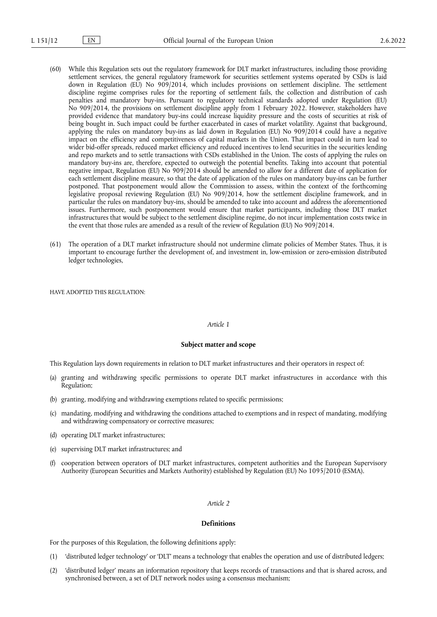- (60) While this Regulation sets out the regulatory framework for DLT market infrastructures, including those providing settlement services, the general regulatory framework for securities settlement systems operated by CSDs is laid down in Regulation (EU) No 909/2014, which includes provisions on settlement discipline. The settlement discipline regime comprises rules for the reporting of settlement fails, the collection and distribution of cash penalties and mandatory buy-ins. Pursuant to regulatory technical standards adopted under Regulation (EU) No 909/2014, the provisions on settlement discipline apply from 1 February 2022. However, stakeholders have provided evidence that mandatory buy-ins could increase liquidity pressure and the costs of securities at risk of being bought in. Such impact could be further exacerbated in cases of market volatility. Against that background, applying the rules on mandatory buy-ins as laid down in Regulation (EU) No 909/2014 could have a negative impact on the efficiency and competitiveness of capital markets in the Union. That impact could in turn lead to wider bid-offer spreads, reduced market efficiency and reduced incentives to lend securities in the securities lending and repo markets and to settle transactions with CSDs established in the Union. The costs of applying the rules on mandatory buy-ins are, therefore, expected to outweigh the potential benefits. Taking into account that potential negative impact, Regulation (EU) No 909/2014 should be amended to allow for a different date of application for each settlement discipline measure, so that the date of application of the rules on mandatory buy-ins can be further postponed. That postponement would allow the Commission to assess, within the context of the forthcoming legislative proposal reviewing Regulation (EU) No 909/2014, how the settlement discipline framework, and in particular the rules on mandatory buy-ins, should be amended to take into account and address the aforementioned issues. Furthermore, such postponement would ensure that market participants, including those DLT market infrastructures that would be subject to the settlement discipline regime, do not incur implementation costs twice in the event that those rules are amended as a result of the review of Regulation (EU) No 909/2014.
- (61) The operation of a DLT market infrastructure should not undermine climate policies of Member States. Thus, it is important to encourage further the development of, and investment in, low-emission or zero-emission distributed ledger technologies,

HAVE ADOPTED THIS REGULATION:

#### *Article 1*

#### **Subject matter and scope**

This Regulation lays down requirements in relation to DLT market infrastructures and their operators in respect of:

- (a) granting and withdrawing specific permissions to operate DLT market infrastructures in accordance with this Regulation;
- (b) granting, modifying and withdrawing exemptions related to specific permissions;
- (c) mandating, modifying and withdrawing the conditions attached to exemptions and in respect of mandating, modifying and withdrawing compensatory or corrective measures;
- (d) operating DLT market infrastructures;
- (e) supervising DLT market infrastructures; and
- (f) cooperation between operators of DLT market infrastructures, competent authorities and the European Supervisory Authority (European Securities and Markets Authority) established by Regulation (EU) No 1095/2010 (ESMA).

## *Article 2*

#### **Definitions**

For the purposes of this Regulation, the following definitions apply:

- (1) 'distributed ledger technology' or 'DLT' means a technology that enables the operation and use of distributed ledgers;
- (2) 'distributed ledger' means an information repository that keeps records of transactions and that is shared across, and synchronised between, a set of DLT network nodes using a consensus mechanism;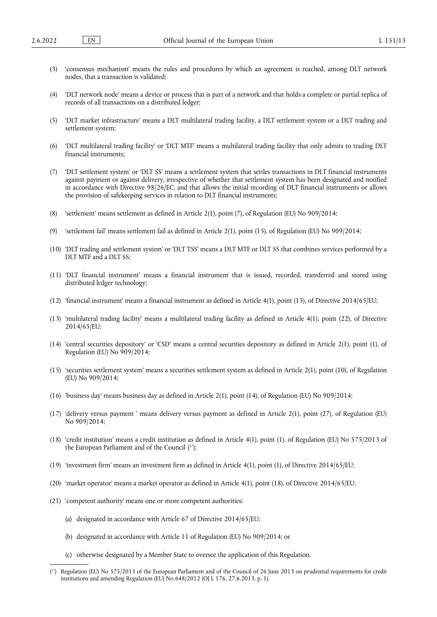- (3) 'consensus mechanism' means the rules and procedures by which an agreement is reached, among DLT network nodes, that a transaction is validated;
- (4) 'DLT network node' means a device or process that is part of a network and that holds a complete or partial replica of records of all transactions on a distributed ledger;
- (5) 'DLT market infrastructure' means a DLT multilateral trading facility, a DLT settlement system or a DLT trading and settlement system;
- (6) 'DLT multilateral trading facility' or 'DLT MTF' means a multilateral trading facility that only admits to trading DLT financial instruments;
- (7) 'DLT settlement system' or 'DLT SS' means a settlement system that settles transactions in DLT financial instruments against payment or against delivery, irrespective of whether that settlement system has been designated and notified in accordance with Directive 98/26/EC, and that allows the initial recording of DLT financial instruments or allows the provision of safekeeping services in relation to DLT financial instruments;
- (8) 'settlement' means settlement as defined in Article 2(1), point (7), of Regulation (EU) No 909/2014;
- (9) 'settlement fail' means settlement fail as defined in Article 2(1), point (15), of Regulation (EU) No 909/2014;
- (10) 'DLT trading and settlement system' or 'DLT TSS' means a DLT MTF or DLT SS that combines services performed by a DLT MTF and a DLT SS;
- (11) 'DLT financial instrument' means a financial instrument that is issued, recorded, transferred and stored using distributed ledger technology;
- (12) 'financial instrument' means a financial instrument as defined in Article 4(1), point (15), of Directive 2014/65/EU;
- (13) 'multilateral trading facility' means a multilateral trading facility as defined in Article 4(1), point (22), of Directive 2014/65/EU;
- (14) 'central securities depository' or 'CSD' means a central securities depository as defined in Article 2(1), point (1), of Regulation (EU) No 909/2014;
- (15) 'securities settlement system' means a securities settlement system as defined in Article 2(1), point (10), of Regulation (EU) No 909/2014;
- (16) 'business day' means business day as defined in Article 2(1), point (14), of Regulation (EU) No 909/2014;
- (17) 'delivery versus payment ' means delivery versus payment as defined in Article 2(1), point (27), of Regulation (EU) No 909/2014;
- <span id="page-12-1"></span>(18) 'credit institution' means a credit institution as defined in Article 4(1), point (1), of Regulation (EU) No 575/2013 of the European Parliament and of the Council ( [17\)](#page-12-0);
- (19) 'investment firm' means an investment firm as defined in Article 4(1), point (1), of Directive 2014/65/EU;
- (20) 'market operator' means a market operator as defined in Article 4(1), point (18), of Directive 2014/65/EU;
- (21) 'competent authority' means one or more competent authorities:
	- (a) designated in accordance with Article 67 of Directive 2014/65/EU;
	- (b) designated in accordance with Article 11 of Regulation (EU) No 909/2014; or
	- (c) otherwise designated by a Member State to oversee the application of this Regulation.

<span id="page-12-0"></span><sup>(</sup> [17\)](#page-12-1) Regulation (EU) No 575/2013 of the European Parliament and of the Council of 26 June 2013 on prudential requirements for credit institutions and amending Regulation (EU) No 648/2012 (OJ L 176, 27.6.2013, p. 1).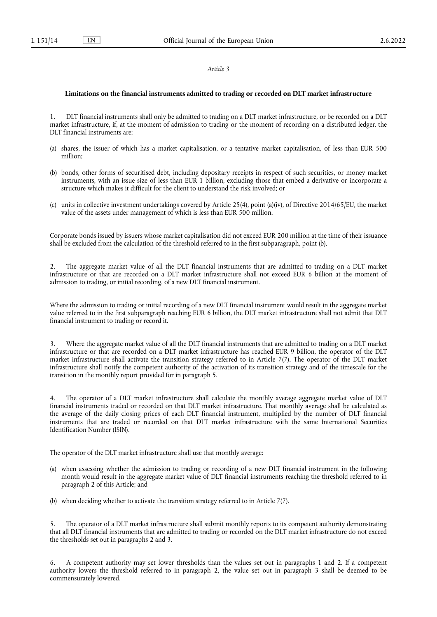#### *Article 3*

#### **Limitations on the financial instruments admitted to trading or recorded on DLT market infrastructure**

1. DLT financial instruments shall only be admitted to trading on a DLT market infrastructure, or be recorded on a DLT market infrastructure, if, at the moment of admission to trading or the moment of recording on a distributed ledger, the DLT financial instruments are:

- (a) shares, the issuer of which has a market capitalisation, or a tentative market capitalisation, of less than EUR 500 million;
- (b) bonds, other forms of securitised debt, including depositary receipts in respect of such securities, or money market instruments, with an issue size of less than EUR 1 billion, excluding those that embed a derivative or incorporate a structure which makes it difficult for the client to understand the risk involved; or
- (c) units in collective investment undertakings covered by Article 25(4), point (a)(iv), of Directive 2014/65/EU, the market value of the assets under management of which is less than EUR 500 million.

Corporate bonds issued by issuers whose market capitalisation did not exceed EUR 200 million at the time of their issuance shall be excluded from the calculation of the threshold referred to in the first subparagraph, point (b).

2. The aggregate market value of all the DLT financial instruments that are admitted to trading on a DLT market infrastructure or that are recorded on a DLT market infrastructure shall not exceed EUR 6 billion at the moment of admission to trading, or initial recording, of a new DLT financial instrument.

Where the admission to trading or initial recording of a new DLT financial instrument would result in the aggregate market value referred to in the first subparagraph reaching EUR 6 billion, the DLT market infrastructure shall not admit that DLT financial instrument to trading or record it.

Where the aggregate market value of all the DLT financial instruments that are admitted to trading on a DLT market infrastructure or that are recorded on a DLT market infrastructure has reached EUR 9 billion, the operator of the DLT market infrastructure shall activate the transition strategy referred to in Article 7(7). The operator of the DLT market infrastructure shall notify the competent authority of the activation of its transition strategy and of the timescale for the transition in the monthly report provided for in paragraph 5.

4. The operator of a DLT market infrastructure shall calculate the monthly average aggregate market value of DLT financial instruments traded or recorded on that DLT market infrastructure. That monthly average shall be calculated as the average of the daily closing prices of each DLT financial instrument, multiplied by the number of DLT financial instruments that are traded or recorded on that DLT market infrastructure with the same International Securities Identification Number (ISIN).

The operator of the DLT market infrastructure shall use that monthly average:

- (a) when assessing whether the admission to trading or recording of a new DLT financial instrument in the following month would result in the aggregate market value of DLT financial instruments reaching the threshold referred to in paragraph 2 of this Article; and
- (b) when deciding whether to activate the transition strategy referred to in Article 7(7).

The operator of a DLT market infrastructure shall submit monthly reports to its competent authority demonstrating that all DLT financial instruments that are admitted to trading or recorded on the DLT market infrastructure do not exceed the thresholds set out in paragraphs 2 and 3.

6. A competent authority may set lower thresholds than the values set out in paragraphs 1 and 2. If a competent authority lowers the threshold referred to in paragraph 2, the value set out in paragraph 3 shall be deemed to be commensurately lowered.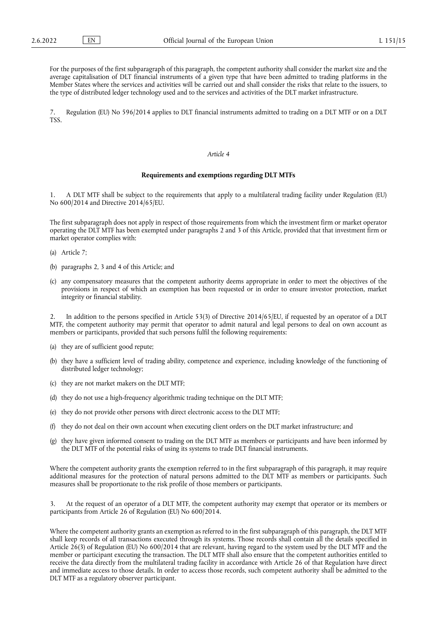For the purposes of the first subparagraph of this paragraph, the competent authority shall consider the market size and the average capitalisation of DLT financial instruments of a given type that have been admitted to trading platforms in the Member States where the services and activities will be carried out and shall consider the risks that relate to the issuers, to the type of distributed ledger technology used and to the services and activities of the DLT market infrastructure.

7. Regulation (EU) No 596/2014 applies to DLT financial instruments admitted to trading on a DLT MTF or on a DLT **TSS.** 

#### *Article 4*

#### **Requirements and exemptions regarding DLT MTFs**

1. A DLT MTF shall be subject to the requirements that apply to a multilateral trading facility under Regulation (EU) No 600/2014 and Directive 2014/65/EU.

The first subparagraph does not apply in respect of those requirements from which the investment firm or market operator operating the DLT MTF has been exempted under paragraphs 2 and 3 of this Article, provided that that investment firm or market operator complies with:

- (a) Article 7;
- (b) paragraphs 2, 3 and 4 of this Article; and
- (c) any compensatory measures that the competent authority deems appropriate in order to meet the objectives of the provisions in respect of which an exemption has been requested or in order to ensure investor protection, market integrity or financial stability.

2. In addition to the persons specified in Article 53(3) of Directive 2014/65/EU, if requested by an operator of a DLT MTF, the competent authority may permit that operator to admit natural and legal persons to deal on own account as members or participants, provided that such persons fulfil the following requirements:

- (a) they are of sufficient good repute;
- (b) they have a sufficient level of trading ability, competence and experience, including knowledge of the functioning of distributed ledger technology;
- (c) they are not market makers on the DLT MTF;
- (d) they do not use a high-frequency algorithmic trading technique on the DLT MTF;
- (e) they do not provide other persons with direct electronic access to the DLT MTF;
- (f) they do not deal on their own account when executing client orders on the DLT market infrastructure; and
- (g) they have given informed consent to trading on the DLT MTF as members or participants and have been informed by the DLT MTF of the potential risks of using its systems to trade DLT financial instruments.

Where the competent authority grants the exemption referred to in the first subparagraph of this paragraph, it may require additional measures for the protection of natural persons admitted to the DLT MTF as members or participants. Such measures shall be proportionate to the risk profile of those members or participants.

3. At the request of an operator of a DLT MTF, the competent authority may exempt that operator or its members or participants from Article 26 of Regulation (EU) No 600/2014.

Where the competent authority grants an exemption as referred to in the first subparagraph of this paragraph, the DLT MTF shall keep records of all transactions executed through its systems. Those records shall contain all the details specified in Article 26(3) of Regulation (EU) No 600/2014 that are relevant, having regard to the system used by the DLT MTF and the member or participant executing the transaction. The DLT MTF shall also ensure that the competent authorities entitled to receive the data directly from the multilateral trading facility in accordance with Article 26 of that Regulation have direct and immediate access to those details. In order to access those records, such competent authority shall be admitted to the DLT MTF as a regulatory observer participant.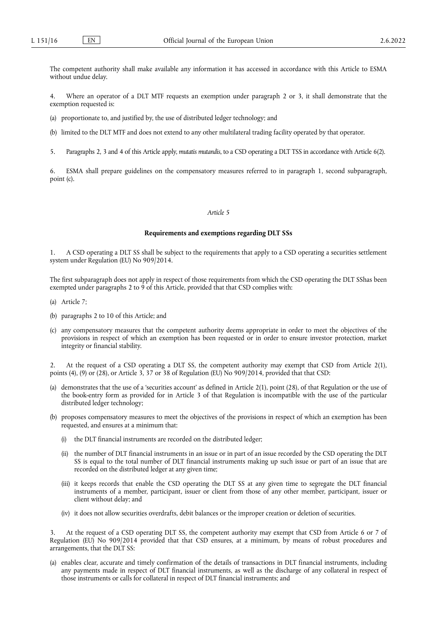The competent authority shall make available any information it has accessed in accordance with this Article to ESMA without undue delay.

4. Where an operator of a DLT MTF requests an exemption under paragraph 2 or 3, it shall demonstrate that the exemption requested is:

- (a) proportionate to, and justified by, the use of distributed ledger technology; and
- (b) limited to the DLT MTF and does not extend to any other multilateral trading facility operated by that operator.
- 5. Paragraphs 2, 3 and 4 of this Article apply, *mutatis mutandis*, to a CSD operating a DLT TSS in accordance with Article 6(2).

6. ESMA shall prepare guidelines on the compensatory measures referred to in paragraph 1, second subparagraph, point (c).

## *Article 5*

## **Requirements and exemptions regarding DLT SSs**

1. A CSD operating a DLT SS shall be subject to the requirements that apply to a CSD operating a securities settlement system under Regulation (EU) No 909/2014.

The first subparagraph does not apply in respect of those requirements from which the CSD operating the DLT SShas been exempted under paragraphs 2 to 9 of this Article, provided that that CSD complies with:

- (a) Article 7;
- (b) paragraphs 2 to 10 of this Article; and
- (c) any compensatory measures that the competent authority deems appropriate in order to meet the objectives of the provisions in respect of which an exemption has been requested or in order to ensure investor protection, market integrity or financial stability.

2. At the request of a CSD operating a DLT SS, the competent authority may exempt that CSD from Article 2(1), points (4), (9) or (28), or Article 3, 37 or 38 of Regulation (EU) No 909/2014, provided that that CSD:

- (a) demonstrates that the use of a 'securities account' as defined in Article 2(1), point (28), of that Regulation or the use of the book-entry form as provided for in Article 3 of that Regulation is incompatible with the use of the particular distributed ledger technology;
- (b) proposes compensatory measures to meet the objectives of the provisions in respect of which an exemption has been requested, and ensures at a minimum that:
	- the DLT financial instruments are recorded on the distributed ledger;
	- (ii) the number of DLT financial instruments in an issue or in part of an issue recorded by the CSD operating the DLT SS is equal to the total number of DLT financial instruments making up such issue or part of an issue that are recorded on the distributed ledger at any given time;
	- (iii) it keeps records that enable the CSD operating the DLT SS at any given time to segregate the DLT financial instruments of a member, participant, issuer or client from those of any other member, participant, issuer or client without delay; and
	- (iv) it does not allow securities overdrafts, debit balances or the improper creation or deletion of securities.

3. At the request of a CSD operating DLT SS, the competent authority may exempt that CSD from Article 6 or 7 of Regulation (EU) No 909/2014 provided that that CSD ensures, at a minimum, by means of robust procedures and arrangements, that the DLT SS:

(a) enables clear, accurate and timely confirmation of the details of transactions in DLT financial instruments, including any payments made in respect of DLT financial instruments, as well as the discharge of any collateral in respect of those instruments or calls for collateral in respect of DLT financial instruments; and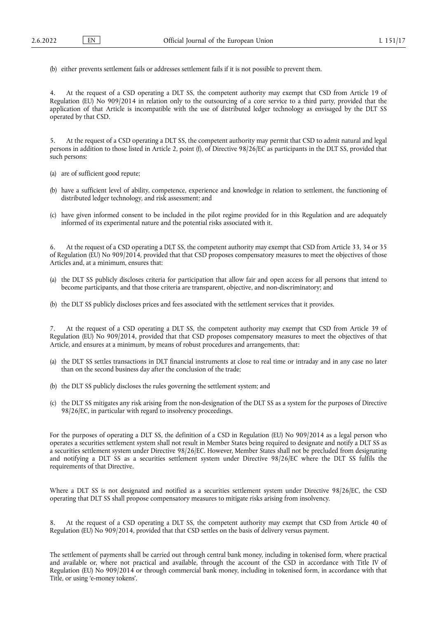(b) either prevents settlement fails or addresses settlement fails if it is not possible to prevent them.

4. At the request of a CSD operating a DLT SS, the competent authority may exempt that CSD from Article 19 of Regulation (EU) No 909/2014 in relation only to the outsourcing of a core service to a third party, provided that the application of that Article is incompatible with the use of distributed ledger technology as envisaged by the DLT SS operated by that CSD.

5. At the request of a CSD operating a DLT SS, the competent authority may permit that CSD to admit natural and legal persons in addition to those listed in Article 2, point (f), of Directive 98/26/EC as participants in the DLT SS, provided that such persons:

(a) are of sufficient good repute;

- (b) have a sufficient level of ability, competence, experience and knowledge in relation to settlement, the functioning of distributed ledger technology, and risk assessment; and
- (c) have given informed consent to be included in the pilot regime provided for in this Regulation and are adequately informed of its experimental nature and the potential risks associated with it.

6. At the request of a CSD operating a DLT SS, the competent authority may exempt that CSD from Article 33, 34 or 35 of Regulation (EU) No 909/2014, provided that that CSD proposes compensatory measures to meet the objectives of those Articles and, at a minimum, ensures that:

- (a) the DLT SS publicly discloses criteria for participation that allow fair and open access for all persons that intend to become participants, and that those criteria are transparent, objective, and non-discriminatory; and
- (b) the DLT SS publicly discloses prices and fees associated with the settlement services that it provides.

7. At the request of a CSD operating a DLT SS, the competent authority may exempt that CSD from Article 39 of Regulation (EU) No 909/2014, provided that that CSD proposes compensatory measures to meet the objectives of that Article, and ensures at a minimum, by means of robust procedures and arrangements, that:

- (a) the DLT SS settles transactions in DLT financial instruments at close to real time or intraday and in any case no later than on the second business day after the conclusion of the trade;
- (b) the DLT SS publicly discloses the rules governing the settlement system; and
- (c) the DLT SS mitigates any risk arising from the non-designation of the DLT SS as a system for the purposes of Directive 98/26/EC, in particular with regard to insolvency proceedings.

For the purposes of operating a DLT SS, the definition of a CSD in Regulation (EU) No 909/2014 as a legal person who operates a securities settlement system shall not result in Member States being required to designate and notify a DLT SS as a securities settlement system under Directive 98/26/EC. However, Member States shall not be precluded from designating and notifying a DLT SS as a securities settlement system under Directive 98/26/EC where the DLT SS fulfils the requirements of that Directive.

Where a DLT SS is not designated and notified as a securities settlement system under Directive 98/26/EC, the CSD operating that DLT SS shall propose compensatory measures to mitigate risks arising from insolvency.

8. At the request of a CSD operating a DLT SS, the competent authority may exempt that CSD from Article 40 of Regulation (EU) No 909/2014, provided that that CSD settles on the basis of delivery versus payment.

The settlement of payments shall be carried out through central bank money, including in tokenised form, where practical and available or, where not practical and available, through the account of the CSD in accordance with Title IV of Regulation (EU) No 909/2014 or through commercial bank money, including in tokenised form, in accordance with that Title, or using 'e-money tokens'.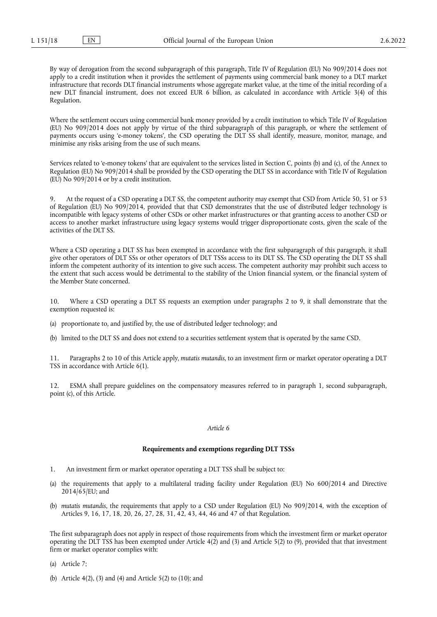By way of derogation from the second subparagraph of this paragraph, Title IV of Regulation (EU) No 909/2014 does not apply to a credit institution when it provides the settlement of payments using commercial bank money to a DLT market infrastructure that records DLT financial instruments whose aggregate market value, at the time of the initial recording of a new DLT financial instrument, does not exceed EUR 6 billion, as calculated in accordance with Article 3(4) of this Regulation.

Where the settlement occurs using commercial bank money provided by a credit institution to which Title IV of Regulation (EU) No 909/2014 does not apply by virtue of the third subparagraph of this paragraph, or where the settlement of payments occurs using 'e-money tokens', the CSD operating the DLT SS shall identify, measure, monitor, manage, and minimise any risks arising from the use of such means.

Services related to 'e-money tokens' that are equivalent to the services listed in Section C, points (b) and (c), of the Annex to Regulation (EU) No 909/2014 shall be provided by the CSD operating the DLT SS in accordance with Title IV of Regulation (EU) No 909/2014 or by a credit institution.

9. At the request of a CSD operating a DLT SS, the competent authority may exempt that CSD from Article 50, 51 or 53 of Regulation (EU) No 909/2014, provided that that CSD demonstrates that the use of distributed ledger technology is incompatible with legacy systems of other CSDs or other market infrastructures or that granting access to another CSD or access to another market infrastructure using legacy systems would trigger disproportionate costs, given the scale of the activities of the DLT SS.

Where a CSD operating a DLT SS has been exempted in accordance with the first subparagraph of this paragraph, it shall give other operators of DLT SSs or other operators of DLT TSSs access to its DLT SS. The CSD operating the DLT SS shall inform the competent authority of its intention to give such access. The competent authority may prohibit such access to the extent that such access would be detrimental to the stability of the Union financial system, or the financial system of the Member State concerned.

10. Where a CSD operating a DLT SS requests an exemption under paragraphs 2 to 9, it shall demonstrate that the exemption requested is:

- (a) proportionate to, and justified by, the use of distributed ledger technology; and
- (b) limited to the DLT SS and does not extend to a securities settlement system that is operated by the same CSD.

11. Paragraphs 2 to 10 of this Article apply, *mutatis mutandis*, to an investment firm or market operator operating a DLT TSS in accordance with Article 6(1).

12. ESMA shall prepare guidelines on the compensatory measures referred to in paragraph 1, second subparagraph, point (c), of this Article.

#### *Article 6*

#### **Requirements and exemptions regarding DLT TSSs**

- 1. An investment firm or market operator operating a DLT TSS shall be subject to:
- (a) the requirements that apply to a multilateral trading facility under Regulation (EU) No 600/2014 and Directive  $2014/65$ /EU; and
- (b) *mutatis mutandis*, the requirements that apply to a CSD under Regulation (EU) No 909/2014, with the exception of Articles 9, 16, 17, 18, 20, 26, 27, 28, 31, 42, 43, 44, 46 and 47 of that Regulation.

The first subparagraph does not apply in respect of those requirements from which the investment firm or market operator operating the DLT TSS has been exempted under Article  $4(2)$  and  $(3)$  and Article  $5(2)$  to  $(9)$ , provided that that investment firm or market operator complies with:

(a) Article 7;

(b) Article 4(2), (3) and (4) and Article 5(2) to (10); and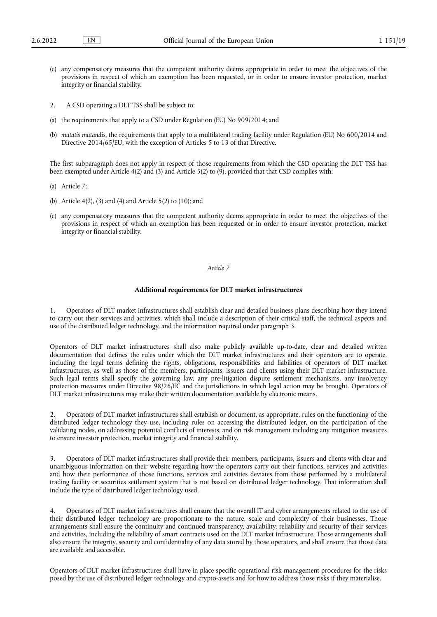- (c) any compensatory measures that the competent authority deems appropriate in order to meet the objectives of the provisions in respect of which an exemption has been requested, or in order to ensure investor protection, market integrity or financial stability.
- 2. A CSD operating a DLT TSS shall be subject to:
- (a) the requirements that apply to a CSD under Regulation (EU) No 909/2014; and
- (b) *mutatis mutandis*, the requirements that apply to a multilateral trading facility under Regulation (EU) No 600/2014 and Directive 2014/65/EU, with the exception of Articles 5 to 13 of that Directive.

The first subparagraph does not apply in respect of those requirements from which the CSD operating the DLT TSS has been exempted under Article 4(2) and (3) and Article 5(2) to (9), provided that that CSD complies with:

- (a) Article 7;
- (b) Article 4(2), (3) and (4) and Article 5(2) to (10); and
- (c) any compensatory measures that the competent authority deems appropriate in order to meet the objectives of the provisions in respect of which an exemption has been requested or in order to ensure investor protection, market integrity or financial stability.

## *Article 7*

#### **Additional requirements for DLT market infrastructures**

1. Operators of DLT market infrastructures shall establish clear and detailed business plans describing how they intend to carry out their services and activities, which shall include a description of their critical staff, the technical aspects and use of the distributed ledger technology, and the information required under paragraph 3.

Operators of DLT market infrastructures shall also make publicly available up-to-date, clear and detailed written documentation that defines the rules under which the DLT market infrastructures and their operators are to operate, including the legal terms defining the rights, obligations, responsibilities and liabilities of operators of DLT market infrastructures, as well as those of the members, participants, issuers and clients using their DLT market infrastructure. Such legal terms shall specify the governing law, any pre-litigation dispute settlement mechanisms, any insolvency protection measures under Directive 98/26/EC and the jurisdictions in which legal action may be brought. Operators of DLT market infrastructures may make their written documentation available by electronic means.

2. Operators of DLT market infrastructures shall establish or document, as appropriate, rules on the functioning of the distributed ledger technology they use, including rules on accessing the distributed ledger, on the participation of the validating nodes, on addressing potential conflicts of interests, and on risk management including any mitigation measures to ensure investor protection, market integrity and financial stability.

3. Operators of DLT market infrastructures shall provide their members, participants, issuers and clients with clear and unambiguous information on their website regarding how the operators carry out their functions, services and activities and how their performance of those functions, services and activities deviates from those performed by a multilateral trading facility or securities settlement system that is not based on distributed ledger technology. That information shall include the type of distributed ledger technology used.

4. Operators of DLT market infrastructures shall ensure that the overall IT and cyber arrangements related to the use of their distributed ledger technology are proportionate to the nature, scale and complexity of their businesses. Those arrangements shall ensure the continuity and continued transparency, availability, reliability and security of their services and activities, including the reliability of smart contracts used on the DLT market infrastructure. Those arrangements shall also ensure the integrity, security and confidentiality of any data stored by those operators, and shall ensure that those data are available and accessible.

Operators of DLT market infrastructures shall have in place specific operational risk management procedures for the risks posed by the use of distributed ledger technology and crypto-assets and for how to address those risks if they materialise.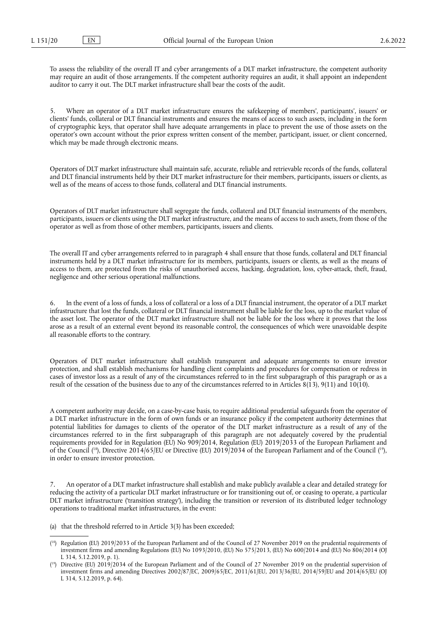To assess the reliability of the overall IT and cyber arrangements of a DLT market infrastructure, the competent authority may require an audit of those arrangements. If the competent authority requires an audit, it shall appoint an independent auditor to carry it out. The DLT market infrastructure shall bear the costs of the audit.

5. Where an operator of a DLT market infrastructure ensures the safekeeping of members', participants', issuers' or clients' funds, collateral or DLT financial instruments and ensures the means of access to such assets, including in the form of cryptographic keys, that operator shall have adequate arrangements in place to prevent the use of those assets on the operator's own account without the prior express written consent of the member, participant, issuer, or client concerned, which may be made through electronic means.

Operators of DLT market infrastructure shall maintain safe, accurate, reliable and retrievable records of the funds, collateral and DLT financial instruments held by their DLT market infrastructure for their members, participants, issuers or clients, as well as of the means of access to those funds, collateral and DLT financial instruments.

Operators of DLT market infrastructure shall segregate the funds, collateral and DLT financial instruments of the members, participants, issuers or clients using the DLT market infrastructure, and the means of access to such assets, from those of the operator as well as from those of other members, participants, issuers and clients.

The overall IT and cyber arrangements referred to in paragraph 4 shall ensure that those funds, collateral and DLT financial instruments held by a DLT market infrastructure for its members, participants, issuers or clients, as well as the means of access to them, are protected from the risks of unauthorised access, hacking, degradation, loss, cyber-attack, theft, fraud, negligence and other serious operational malfunctions.

6. In the event of a loss of funds, a loss of collateral or a loss of a DLT financial instrument, the operator of a DLT market infrastructure that lost the funds, collateral or DLT financial instrument shall be liable for the loss, up to the market value of the asset lost. The operator of the DLT market infrastructure shall not be liable for the loss where it proves that the loss arose as a result of an external event beyond its reasonable control, the consequences of which were unavoidable despite all reasonable efforts to the contrary.

Operators of DLT market infrastructure shall establish transparent and adequate arrangements to ensure investor protection, and shall establish mechanisms for handling client complaints and procedures for compensation or redress in cases of investor loss as a result of any of the circumstances referred to in the first subparagraph of this paragraph or as a result of the cessation of the business due to any of the circumstances referred to in Articles  $8(13)$ ,  $9(11)$  and  $10(10)$ .

<span id="page-19-2"></span>A competent authority may decide, on a case-by-case basis, to require additional prudential safeguards from the operator of a DLT market infrastructure in the form of own funds or an insurance policy if the competent authority determines that potential liabilities for damages to clients of the operator of the DLT market infrastructure as a result of any of the circumstances referred to in the first subparagraph of this paragraph are not adequately covered by the prudential requirements provided for in Regulation (EU) No 909/2014, Regulation (EU) 2019/2033 of the European Parliament and of the Council (<sup>18</sup>), Directive 2014/65/EU or Directive (EU) 2019/2034 of the European Parliament and of the Council (<sup>19</sup>), in order to ensure investor protection.

7. An operator of a DLT market infrastructure shall establish and make publicly available a clear and detailed strategy for reducing the activity of a particular DLT market infrastructure or for transitioning out of, or ceasing to operate, a particular DLT market infrastructure ('transition strategy'), including the transition or reversion of its distributed ledger technology operations to traditional market infrastructures, in the event:

- (a) that the threshold referred to in Article 3(3) has been exceeded;
- <span id="page-19-0"></span>( [18\)](#page-19-2) Regulation (EU) 2019/2033 of the European Parliament and of the Council of 27 November 2019 on the prudential requirements of investment firms and amending Regulations (EU) No 1093/2010, (EU) No 575/2013, (EU) No 600/2014 and (EU) No 806/2014 (OJ L 314, 5.12.2019, p. 1).
- <span id="page-19-1"></span>( [19\)](#page-19-2) Directive (EU) 2019/2034 of the European Parliament and of the Council of 27 November 2019 on the prudential supervision of investment firms and amending Directives 2002/87/EC, 2009/65/EC, 2011/61/EU, 2013/36/EU, 2014/59/EU and 2014/65/EU (OJ L 314, 5.12.2019, p. 64).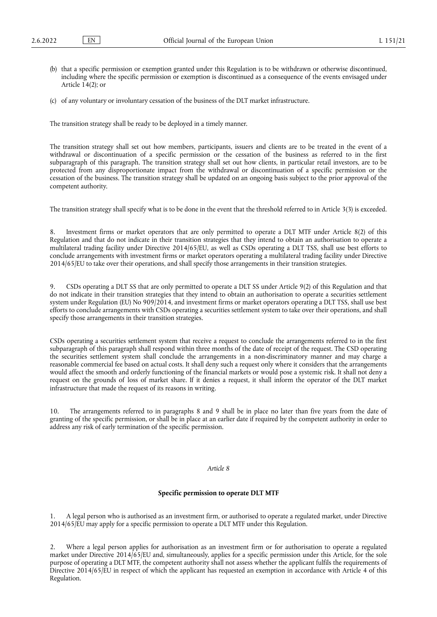- (b) that a specific permission or exemption granted under this Regulation is to be withdrawn or otherwise discontinued, including where the specific permission or exemption is discontinued as a consequence of the events envisaged under Article 14(2); or
- (c) of any voluntary or involuntary cessation of the business of the DLT market infrastructure.

The transition strategy shall be ready to be deployed in a timely manner.

The transition strategy shall set out how members, participants, issuers and clients are to be treated in the event of a withdrawal or discontinuation of a specific permission or the cessation of the business as referred to in the first subparagraph of this paragraph. The transition strategy shall set out how clients, in particular retail investors, are to be protected from any disproportionate impact from the withdrawal or discontinuation of a specific permission or the cessation of the business. The transition strategy shall be updated on an ongoing basis subject to the prior approval of the competent authority.

The transition strategy shall specify what is to be done in the event that the threshold referred to in Article 3(3) is exceeded.

8. Investment firms or market operators that are only permitted to operate a DLT MTF under Article 8(2) of this Regulation and that do not indicate in their transition strategies that they intend to obtain an authorisation to operate a multilateral trading facility under Directive 2014/65/EU, as well as CSDs operating a DLT TSS, shall use best efforts to conclude arrangements with investment firms or market operators operating a multilateral trading facility under Directive 2014/65/EU to take over their operations, and shall specify those arrangements in their transition strategies.

9. CSDs operating a DLT SS that are only permitted to operate a DLT SS under Article 9(2) of this Regulation and that do not indicate in their transition strategies that they intend to obtain an authorisation to operate a securities settlement system under Regulation (EU) No 909/2014, and investment firms or market operators operating a DLT TSS, shall use best efforts to conclude arrangements with CSDs operating a securities settlement system to take over their operations, and shall specify those arrangements in their transition strategies.

CSDs operating a securities settlement system that receive a request to conclude the arrangements referred to in the first subparagraph of this paragraph shall respond within three months of the date of receipt of the request. The CSD operating the securities settlement system shall conclude the arrangements in a non-discriminatory manner and may charge a reasonable commercial fee based on actual costs. It shall deny such a request only where it considers that the arrangements would affect the smooth and orderly functioning of the financial markets or would pose a systemic risk. It shall not deny a request on the grounds of loss of market share. If it denies a request, it shall inform the operator of the DLT market infrastructure that made the request of its reasons in writing.

10. The arrangements referred to in paragraphs 8 and 9 shall be in place no later than five years from the date of granting of the specific permission, or shall be in place at an earlier date if required by the competent authority in order to address any risk of early termination of the specific permission.

#### *Article 8*

## **Specific permission to operate DLT MTF**

1. A legal person who is authorised as an investment firm, or authorised to operate a regulated market, under Directive 2014/65/EU may apply for a specific permission to operate a DLT MTF under this Regulation.

2. Where a legal person applies for authorisation as an investment firm or for authorisation to operate a regulated market under Directive 2014/65/EU and, simultaneously, applies for a specific permission under this Article, for the sole purpose of operating a DLT MTF, the competent authority shall not assess whether the applicant fulfils the requirements of Directive 2014/65/EU in respect of which the applicant has requested an exemption in accordance with Article 4 of this Regulation.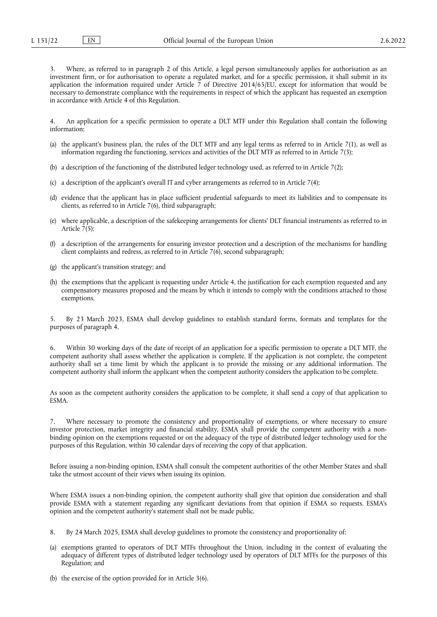Where, as referred to in paragraph 2 of this Article, a legal person simultaneously applies for authorisation as an investment firm, or for authorisation to operate a regulated market, and for a specific permission, it shall submit in its application the information required under Article  $\bar{7}$  of Directive 2014/65/EU, except for information that would be necessary to demonstrate compliance with the requirements in respect of which the applicant has requested an exemption in accordance with Article 4 of this Regulation.

4. An application for a specific permission to operate a DLT MTF under this Regulation shall contain the following information:

- (a) the applicant's business plan, the rules of the DLT MTF and any legal terms as referred to in Article 7(1), as well as information regarding the functioning, services and activities of the DLT MTF as referred to in Article 7(3);
- (b) a description of the functioning of the distributed ledger technology used, as referred to in Article 7(2);
- (c) a description of the applicant's overall IT and cyber arrangements as referred to in Article 7(4);
- (d) evidence that the applicant has in place sufficient prudential safeguards to meet its liabilities and to compensate its clients, as referred to in Article 7(6), third subparagraph;
- (e) where applicable, a description of the safekeeping arrangements for clients' DLT financial instruments as referred to in Article  $\bar{7}(5)$ ;
- (f) a description of the arrangements for ensuring investor protection and a description of the mechanisms for handling client complaints and redress, as referred to in Article 7(6), second subparagraph;
- (g) the applicant's transition strategy; and
- (h) the exemptions that the applicant is requesting under Article 4, the justification for each exemption requested and any compensatory measures proposed and the means by which it intends to comply with the conditions attached to those exemptions.

5. By 23 March 2023, ESMA shall develop guidelines to establish standard forms, formats and templates for the purposes of paragraph 4.

6. Within 30 working days of the date of receipt of an application for a specific permission to operate a DLT MTF, the competent authority shall assess whether the application is complete. If the application is not complete, the competent authority shall set a time limit by which the applicant is to provide the missing or any additional information. The competent authority shall inform the applicant when the competent authority considers the application to be complete.

As soon as the competent authority considers the application to be complete, it shall send a copy of that application to ESMA.

7. Where necessary to promote the consistency and proportionality of exemptions, or where necessary to ensure investor protection, market integrity and financial stability, ESMA shall provide the competent authority with a nonbinding opinion on the exemptions requested or on the adequacy of the type of distributed ledger technology used for the purposes of this Regulation, within 30 calendar days of receiving the copy of that application.

Before issuing a non-binding opinion, ESMA shall consult the competent authorities of the other Member States and shall take the utmost account of their views when issuing its opinion.

Where ESMA issues a non-binding opinion, the competent authority shall give that opinion due consideration and shall provide ESMA with a statement regarding any significant deviations from that opinion if ESMA so requests. ESMA's opinion and the competent authority's statement shall not be made public.

- 8. By 24 March 2025, ESMA shall develop guidelines to promote the consistency and proportionality of:
- (a) exemptions granted to operators of DLT MTFs throughout the Union, including in the context of evaluating the adequacy of different types of distributed ledger technology used by operators of DLT MTFs for the purposes of this Regulation; and
- (b) the exercise of the option provided for in Article 3(6).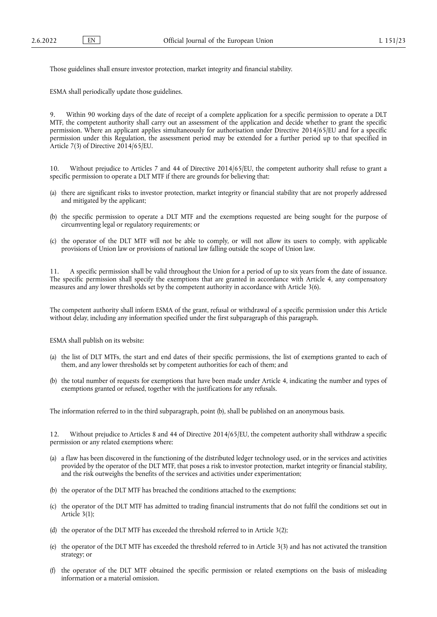Those guidelines shall ensure investor protection, market integrity and financial stability.

ESMA shall periodically update those guidelines.

9. Within 90 working days of the date of receipt of a complete application for a specific permission to operate a DLT MTF, the competent authority shall carry out an assessment of the application and decide whether to grant the specific permission. Where an applicant applies simultaneously for authorisation under Directive 2014/65/EU and for a specific permission under this Regulation, the assessment period may be extended for a further period up to that specified in Article 7(3) of Directive 2014/65/EU.

10. Without prejudice to Articles 7 and 44 of Directive 2014/65/EU, the competent authority shall refuse to grant a specific permission to operate a DLT MTF if there are grounds for believing that:

- (a) there are significant risks to investor protection, market integrity or financial stability that are not properly addressed and mitigated by the applicant;
- (b) the specific permission to operate a DLT MTF and the exemptions requested are being sought for the purpose of circumventing legal or regulatory requirements; or
- (c) the operator of the DLT MTF will not be able to comply, or will not allow its users to comply, with applicable provisions of Union law or provisions of national law falling outside the scope of Union law.

11. A specific permission shall be valid throughout the Union for a period of up to six years from the date of issuance. The specific permission shall specify the exemptions that are granted in accordance with Article 4, any compensatory measures and any lower thresholds set by the competent authority in accordance with Article 3(6).

The competent authority shall inform ESMA of the grant, refusal or withdrawal of a specific permission under this Article without delay, including any information specified under the first subparagraph of this paragraph.

ESMA shall publish on its website:

- (a) the list of DLT MTFs, the start and end dates of their specific permissions, the list of exemptions granted to each of them, and any lower thresholds set by competent authorities for each of them; and
- (b) the total number of requests for exemptions that have been made under Article 4, indicating the number and types of exemptions granted or refused, together with the justifications for any refusals.

The information referred to in the third subparagraph, point (b), shall be published on an anonymous basis.

12. Without prejudice to Articles 8 and 44 of Directive 2014/65/EU, the competent authority shall withdraw a specific permission or any related exemptions where:

- (a) a flaw has been discovered in the functioning of the distributed ledger technology used, or in the services and activities provided by the operator of the DLT MTF, that poses a risk to investor protection, market integrity or financial stability, and the risk outweighs the benefits of the services and activities under experimentation;
- (b) the operator of the DLT MTF has breached the conditions attached to the exemptions;
- (c) the operator of the DLT MTF has admitted to trading financial instruments that do not fulfil the conditions set out in Article 3(1);
- (d) the operator of the DLT MTF has exceeded the threshold referred to in Article 3(2);
- (e) the operator of the DLT MTF has exceeded the threshold referred to in Article 3(3) and has not activated the transition strategy; or
- (f) the operator of the DLT MTF obtained the specific permission or related exemptions on the basis of misleading information or a material omission.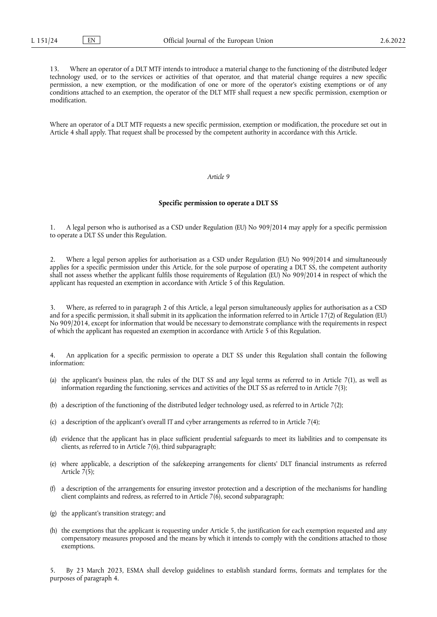13. Where an operator of a DLT MTF intends to introduce a material change to the functioning of the distributed ledger technology used, or to the services or activities of that operator, and that material change requires a new specific permission, a new exemption, or the modification of one or more of the operator's existing exemptions or of any conditions attached to an exemption, the operator of the DLT MTF shall request a new specific permission, exemption or modification.

Where an operator of a DLT MTF requests a new specific permission, exemption or modification, the procedure set out in Article 4 shall apply. That request shall be processed by the competent authority in accordance with this Article.

#### *Article 9*

## **Specific permission to operate a DLT SS**

1. A legal person who is authorised as a CSD under Regulation (EU) No 909/2014 may apply for a specific permission to operate a DLT SS under this Regulation.

2. Where a legal person applies for authorisation as a CSD under Regulation (EU) No 909/2014 and simultaneously applies for a specific permission under this Article, for the sole purpose of operating a DLT SS, the competent authority shall not assess whether the applicant fulfils those requirements of Regulation (EU) No 909/2014 in respect of which the applicant has requested an exemption in accordance with Article 5 of this Regulation.

3. Where, as referred to in paragraph 2 of this Article, a legal person simultaneously applies for authorisation as a CSD and for a specific permission, it shall submit in its application the information referred to in Article 17(2) of Regulation (EU) No 909/2014, except for information that would be necessary to demonstrate compliance with the requirements in respect of which the applicant has requested an exemption in accordance with Article 5 of this Regulation.

4. An application for a specific permission to operate a DLT SS under this Regulation shall contain the following information:

- (a) the applicant's business plan, the rules of the DLT SS and any legal terms as referred to in Article 7(1), as well as information regarding the functioning, services and activities of the DLT SS as referred to in Article 7(3);
- (b) a description of the functioning of the distributed ledger technology used, as referred to in Article 7(2);
- (c) a description of the applicant's overall IT and cyber arrangements as referred to in Article 7(4);
- (d) evidence that the applicant has in place sufficient prudential safeguards to meet its liabilities and to compensate its clients, as referred to in Article 7(6), third subparagraph;
- (e) where applicable, a description of the safekeeping arrangements for clients' DLT financial instruments as referred Article  $7(5)$ ;
- (f) a description of the arrangements for ensuring investor protection and a description of the mechanisms for handling client complaints and redress, as referred to in Article 7(6), second subparagraph;
- (g) the applicant's transition strategy; and
- (h) the exemptions that the applicant is requesting under Article 5, the justification for each exemption requested and any compensatory measures proposed and the means by which it intends to comply with the conditions attached to those exemptions.

5. By 23 March 2023, ESMA shall develop guidelines to establish standard forms, formats and templates for the purposes of paragraph 4.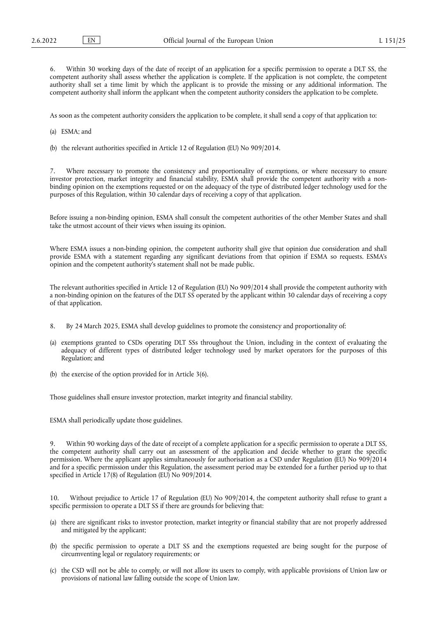Within 30 working days of the date of receipt of an application for a specific permission to operate a DLT SS, the competent authority shall assess whether the application is complete. If the application is not complete, the competent authority shall set a time limit by which the applicant is to provide the missing or any additional information. The competent authority shall inform the applicant when the competent authority considers the application to be complete.

As soon as the competent authority considers the application to be complete, it shall send a copy of that application to:

- (a) ESMA; and
- (b) the relevant authorities specified in Article 12 of Regulation (EU) No 909/2014.

7. Where necessary to promote the consistency and proportionality of exemptions, or where necessary to ensure investor protection, market integrity and financial stability, ESMA shall provide the competent authority with a nonbinding opinion on the exemptions requested or on the adequacy of the type of distributed ledger technology used for the purposes of this Regulation, within 30 calendar days of receiving a copy of that application.

Before issuing a non-binding opinion, ESMA shall consult the competent authorities of the other Member States and shall take the utmost account of their views when issuing its opinion.

Where ESMA issues a non-binding opinion, the competent authority shall give that opinion due consideration and shall provide ESMA with a statement regarding any significant deviations from that opinion if ESMA so requests. ESMA's opinion and the competent authority's statement shall not be made public.

The relevant authorities specified in Article 12 of Regulation (EU) No 909/2014 shall provide the competent authority with a non-binding opinion on the features of the DLT SS operated by the applicant within 30 calendar days of receiving a copy of that application.

- 8. By 24 March 2025, ESMA shall develop guidelines to promote the consistency and proportionality of:
- (a) exemptions granted to CSDs operating DLT SSs throughout the Union, including in the context of evaluating the adequacy of different types of distributed ledger technology used by market operators for the purposes of this Regulation; and
- (b) the exercise of the option provided for in Article 3(6).

Those guidelines shall ensure investor protection, market integrity and financial stability.

ESMA shall periodically update those guidelines.

9. Within 90 working days of the date of receipt of a complete application for a specific permission to operate a DLT SS, the competent authority shall carry out an assessment of the application and decide whether to grant the specific permission. Where the applicant applies simultaneously for authorisation as a CSD under Regulation (EU) No 909/2014 and for a specific permission under this Regulation, the assessment period may be extended for a further period up to that specified in Article 17(8) of Regulation (EU) No 909/2014.

10. Without prejudice to Article 17 of Regulation (EU) No 909/2014, the competent authority shall refuse to grant a specific permission to operate a DLT SS if there are grounds for believing that:

- (a) there are significant risks to investor protection, market integrity or financial stability that are not properly addressed and mitigated by the applicant;
- (b) the specific permission to operate a DLT SS and the exemptions requested are being sought for the purpose of circumventing legal or regulatory requirements; or
- (c) the CSD will not be able to comply, or will not allow its users to comply, with applicable provisions of Union law or provisions of national law falling outside the scope of Union law.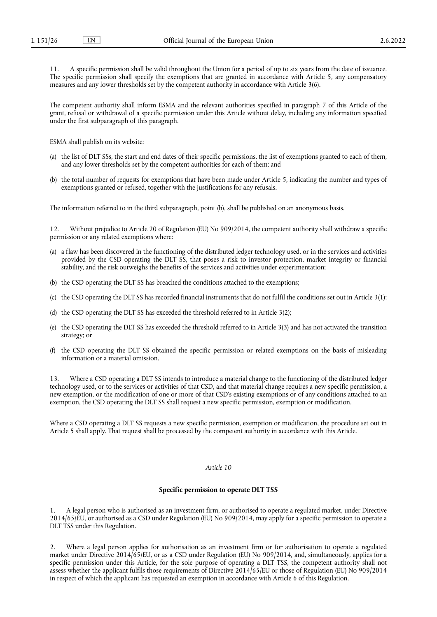11. A specific permission shall be valid throughout the Union for a period of up to six years from the date of issuance. The specific permission shall specify the exemptions that are granted in accordance with Article 5, any compensatory measures and any lower thresholds set by the competent authority in accordance with Article 3(6).

The competent authority shall inform ESMA and the relevant authorities specified in paragraph 7 of this Article of the grant, refusal or withdrawal of a specific permission under this Article without delay, including any information specified under the first subparagraph of this paragraph.

ESMA shall publish on its website:

- (a) the list of DLT SSs, the start and end dates of their specific permissions, the list of exemptions granted to each of them, and any lower thresholds set by the competent authorities for each of them; and
- (b) the total number of requests for exemptions that have been made under Article 5, indicating the number and types of exemptions granted or refused, together with the justifications for any refusals.

The information referred to in the third subparagraph, point (b), shall be published on an anonymous basis.

Without prejudice to Article 20 of Regulation (EU) No 909/2014, the competent authority shall withdraw a specific permission or any related exemptions where:

- (a) a flaw has been discovered in the functioning of the distributed ledger technology used, or in the services and activities provided by the CSD operating the DLT SS, that poses a risk to investor protection, market integrity or financial stability, and the risk outweighs the benefits of the services and activities under experimentation;
- (b) the CSD operating the DLT SS has breached the conditions attached to the exemptions;
- (c) the CSD operating the DLT SS has recorded financial instruments that do not fulfil the conditions set out in Article 3(1);
- (d) the CSD operating the DLT SS has exceeded the threshold referred to in Article 3(2);
- (e) the CSD operating the DLT SS has exceeded the threshold referred to in Article 3(3) and has not activated the transition strategy; or
- (f) the CSD operating the DLT SS obtained the specific permission or related exemptions on the basis of misleading information or a material omission.

13. Where a CSD operating a DLT SS intends to introduce a material change to the functioning of the distributed ledger technology used, or to the services or activities of that CSD, and that material change requires a new specific permission, a new exemption, or the modification of one or more of that CSD's existing exemptions or of any conditions attached to an exemption, the CSD operating the DLT SS shall request a new specific permission, exemption or modification.

Where a CSD operating a DLT SS requests a new specific permission, exemption or modification, the procedure set out in Article 5 shall apply. That request shall be processed by the competent authority in accordance with this Article.

#### *Article 10*

## **Specific permission to operate DLT TSS**

1. A legal person who is authorised as an investment firm, or authorised to operate a regulated market, under Directive 2014/65/EU, or authorised as a CSD under Regulation (EU) No 909/2014, may apply for a specific permission to operate a DLT TSS under this Regulation.

2. Where a legal person applies for authorisation as an investment firm or for authorisation to operate a regulated market under Directive 2014/65/EU, or as a CSD under Regulation (EU) No 909/2014, and, simultaneously, applies for a specific permission under this Article, for the sole purpose of operating a DLT TSS, the competent authority shall not assess whether the applicant fulfils those requirements of Directive 2014/65/EU or those of Regulation (EU) No 909/2014 in respect of which the applicant has requested an exemption in accordance with Article 6 of this Regulation.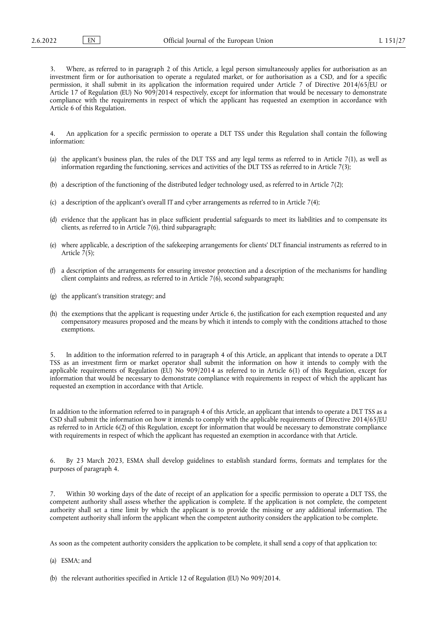Where, as referred to in paragraph 2 of this Article, a legal person simultaneously applies for authorisation as an investment firm or for authorisation to operate a regulated market, or for authorisation as a CSD, and for a specific permission, it shall submit in its application the information required under Article 7 of Directive 2014/65/EU or Article 17 of Regulation (EU) No 909/2014 respectively, except for information that would be necessary to demonstrate compliance with the requirements in respect of which the applicant has requested an exemption in accordance with Article 6 of this Regulation.

4. An application for a specific permission to operate a DLT TSS under this Regulation shall contain the following information:

- (a) the applicant's business plan, the rules of the DLT TSS and any legal terms as referred to in Article 7(1), as well as information regarding the functioning, services and activities of the DLT TSS as referred to in Article 7(3);
- (b) a description of the functioning of the distributed ledger technology used, as referred to in Article 7(2);
- (c) a description of the applicant's overall IT and cyber arrangements as referred to in Article 7(4);
- (d) evidence that the applicant has in place sufficient prudential safeguards to meet its liabilities and to compensate its clients, as referred to in Article 7(6), third subparagraph;
- (e) where applicable, a description of the safekeeping arrangements for clients' DLT financial instruments as referred to in Article 7(5);
- (f) a description of the arrangements for ensuring investor protection and a description of the mechanisms for handling client complaints and redress, as referred to in Article 7(6), second subparagraph;
- (g) the applicant's transition strategy; and
- (h) the exemptions that the applicant is requesting under Article 6, the justification for each exemption requested and any compensatory measures proposed and the means by which it intends to comply with the conditions attached to those exemptions.

5. In addition to the information referred to in paragraph 4 of this Article, an applicant that intends to operate a DLT TSS as an investment firm or market operator shall submit the information on how it intends to comply with the applicable requirements of Regulation (EU) No 909/2014 as referred to in Article 6(1) of this Regulation, except for information that would be necessary to demonstrate compliance with requirements in respect of which the applicant has requested an exemption in accordance with that Article.

In addition to the information referred to in paragraph 4 of this Article, an applicant that intends to operate a DLT TSS as a CSD shall submit the information on how it intends to comply with the applicable requirements of Directive 2014/65/EU as referred to in Article 6(2) of this Regulation, except for information that would be necessary to demonstrate compliance with requirements in respect of which the applicant has requested an exemption in accordance with that Article.

6. By 23 March 2023, ESMA shall develop guidelines to establish standard forms, formats and templates for the purposes of paragraph 4.

7. Within 30 working days of the date of receipt of an application for a specific permission to operate a DLT TSS, the competent authority shall assess whether the application is complete. If the application is not complete, the competent authority shall set a time limit by which the applicant is to provide the missing or any additional information. The competent authority shall inform the applicant when the competent authority considers the application to be complete.

As soon as the competent authority considers the application to be complete, it shall send a copy of that application to:

(a) ESMA; and

(b) the relevant authorities specified in Article 12 of Regulation (EU) No 909/2014.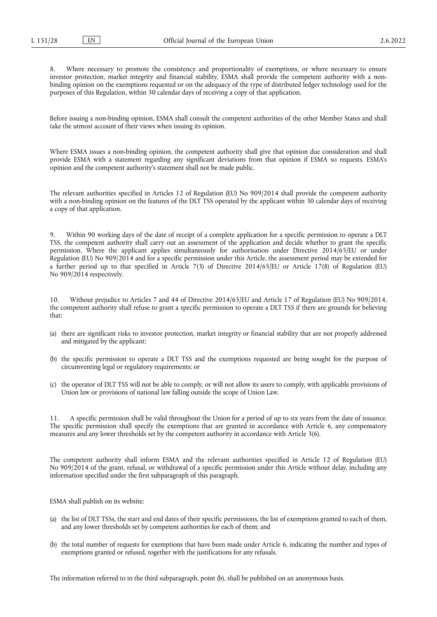8. Where necessary to promote the consistency and proportionality of exemptions, or where necessary to ensure investor protection, market integrity and financial stability, ESMA shall provide the competent authority with a nonbinding opinion on the exemptions requested or on the adequacy of the type of distributed ledger technology used for the purposes of this Regulation, within 30 calendar days of receiving a copy of that application.

Before issuing a non-binding opinion, ESMA shall consult the competent authorities of the other Member States and shall take the utmost account of their views when issuing its opinion.

Where ESMA issues a non-binding opinion, the competent authority shall give that opinion due consideration and shall provide ESMA with a statement regarding any significant deviations from that opinion if ESMA so requests. ESMA's opinion and the competent authority's statement shall not be made public.

The relevant authorities specified in Articles 12 of Regulation (EU) No 909/2014 shall provide the competent authority with a non-binding opinion on the features of the DLT TSS operated by the applicant within 30 calendar days of receiving a copy of that application.

9. Within 90 working days of the date of receipt of a complete application for a specific permission to operate a DLT TSS, the competent authority shall carry out an assessment of the application and decide whether to grant the specific permission. Where the applicant applies simultaneously for authorisation under Directive 2014/65/EU or under Regulation (EU) No 909/2014 and for a specific permission under this Article, the assessment period may be extended for a further period up to that specified in Article 7(3) of Directive 2014/65/EU or Article 17(8) of Regulation (EU) No 909/2014 respectively.

10. Without prejudice to Articles 7 and 44 of Directive 2014/65/EU and Article 17 of Regulation (EU) No 909/2014, the competent authority shall refuse to grant a specific permission to operate a DLT TSS if there are grounds for believing that:

- (a) there are significant risks to investor protection, market integrity or financial stability that are not properly addressed and mitigated by the applicant;
- (b) the specific permission to operate a DLT TSS and the exemptions requested are being sought for the purpose of circumventing legal or regulatory requirements; or
- (c) the operator of DLT TSS will not be able to comply, or will not allow its users to comply, with applicable provisions of Union law or provisions of national law falling outside the scope of Union Law.

11. A specific permission shall be valid throughout the Union for a period of up to six years from the date of issuance. The specific permission shall specify the exemptions that are granted in accordance with Article 6, any compensatory measures and any lower thresholds set by the competent authority in accordance with Article 3(6).

The competent authority shall inform ESMA and the relevant authorities specified in Article 12 of Regulation (EU) No 909/2014 of the grant, refusal, or withdrawal of a specific permission under this Article without delay, including any information specified under the first subparagraph of this paragraph.

ESMA shall publish on its website:

- (a) the list of DLT TSSs, the start and end dates of their specific permissions, the list of exemptions granted to each of them, and any lower thresholds set by competent authorities for each of them; and
- (b) the total number of requests for exemptions that have been made under Article 6, indicating the number and types of exemptions granted or refused, together with the justifications for any refusals.

The information referred to in the third subparagraph, point (b), shall be published on an anonymous basis.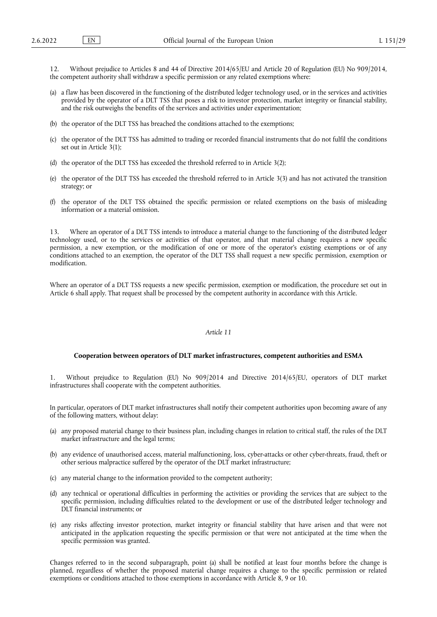12. Without prejudice to Articles 8 and 44 of Directive 2014/65/EU and Article 20 of Regulation (EU) No 909/2014, the competent authority shall withdraw a specific permission or any related exemptions where:

- (a) a flaw has been discovered in the functioning of the distributed ledger technology used, or in the services and activities provided by the operator of a DLT TSS that poses a risk to investor protection, market integrity or financial stability, and the risk outweighs the benefits of the services and activities under experimentation;
- (b) the operator of the DLT TSS has breached the conditions attached to the exemptions;
- (c) the operator of the DLT TSS has admitted to trading or recorded financial instruments that do not fulfil the conditions set out in Article 3(1);
- (d) the operator of the DLT TSS has exceeded the threshold referred to in Article 3(2);
- (e) the operator of the DLT TSS has exceeded the threshold referred to in Article 3(3) and has not activated the transition strategy; or
- (f) the operator of the DLT TSS obtained the specific permission or related exemptions on the basis of misleading information or a material omission.

13. Where an operator of a DLT TSS intends to introduce a material change to the functioning of the distributed ledger technology used, or to the services or activities of that operator, and that material change requires a new specific permission, a new exemption, or the modification of one or more of the operator's existing exemptions or of any conditions attached to an exemption, the operator of the DLT TSS shall request a new specific permission, exemption or modification.

Where an operator of a DLT TSS requests a new specific permission, exemption or modification, the procedure set out in Article 6 shall apply. That request shall be processed by the competent authority in accordance with this Article.

## *Article 11*

## **Cooperation between operators of DLT market infrastructures, competent authorities and ESMA**

1. Without prejudice to Regulation (EU) No 909/2014 and Directive 2014/65/EU, operators of DLT market infrastructures shall cooperate with the competent authorities.

In particular, operators of DLT market infrastructures shall notify their competent authorities upon becoming aware of any of the following matters, without delay:

- (a) any proposed material change to their business plan, including changes in relation to critical staff, the rules of the DLT market infrastructure and the legal terms;
- (b) any evidence of unauthorised access, material malfunctioning, loss, cyber-attacks or other cyber-threats, fraud, theft or other serious malpractice suffered by the operator of the DLT market infrastructure;
- (c) any material change to the information provided to the competent authority;
- (d) any technical or operational difficulties in performing the activities or providing the services that are subject to the specific permission, including difficulties related to the development or use of the distributed ledger technology and DLT financial instruments; or
- (e) any risks affecting investor protection, market integrity or financial stability that have arisen and that were not anticipated in the application requesting the specific permission or that were not anticipated at the time when the specific permission was granted.

Changes referred to in the second subparagraph, point (a) shall be notified at least four months before the change is planned, regardless of whether the proposed material change requires a change to the specific permission or related exemptions or conditions attached to those exemptions in accordance with Article 8, 9 or 10.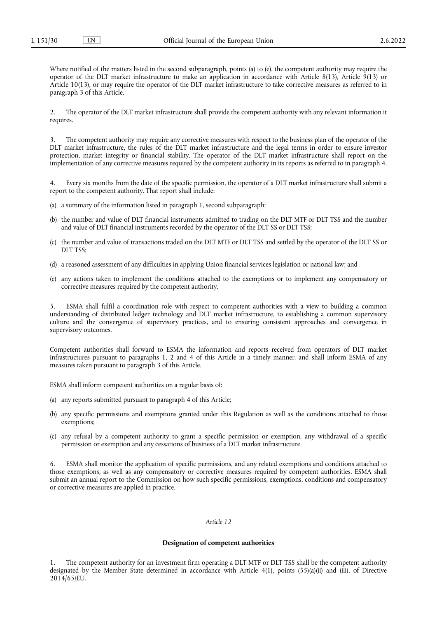Where notified of the matters listed in the second subparagraph, points (a) to (e), the competent authority may require the operator of the DLT market infrastructure to make an application in accordance with Article 8(13), Article  $9(13)$  or Article 10(13), or may require the operator of the DLT market infrastructure to take corrective measures as referred to in paragraph 3 of this Article.

2. The operator of the DLT market infrastructure shall provide the competent authority with any relevant information it requires.

3. The competent authority may require any corrective measures with respect to the business plan of the operator of the DLT market infrastructure, the rules of the DLT market infrastructure and the legal terms in order to ensure investor protection, market integrity or financial stability. The operator of the DLT market infrastructure shall report on the implementation of any corrective measures required by the competent authority in its reports as referred to in paragraph 4.

Every six months from the date of the specific permission, the operator of a DLT market infrastructure shall submit a report to the competent authority. That report shall include:

- (a) a summary of the information listed in paragraph 1, second subparagraph;
- (b) the number and value of DLT financial instruments admitted to trading on the DLT MTF or DLT TSS and the number and value of DLT financial instruments recorded by the operator of the DLT SS or DLT TSS;
- (c) the number and value of transactions traded on the DLT MTF or DLT TSS and settled by the operator of the DLT SS or DLT TSS<sup>-</sup>
- (d) a reasoned assessment of any difficulties in applying Union financial services legislation or national law; and
- (e) any actions taken to implement the conditions attached to the exemptions or to implement any compensatory or corrective measures required by the competent authority.

5. ESMA shall fulfil a coordination role with respect to competent authorities with a view to building a common understanding of distributed ledger technology and DLT market infrastructure, to establishing a common supervisory culture and the convergence of supervisory practices, and to ensuring consistent approaches and convergence in supervisory outcomes.

Competent authorities shall forward to ESMA the information and reports received from operators of DLT market infrastructures pursuant to paragraphs 1, 2 and 4 of this Article in a timely manner, and shall inform ESMA of any measures taken pursuant to paragraph 3 of this Article.

ESMA shall inform competent authorities on a regular basis of:

- (a) any reports submitted pursuant to paragraph 4 of this Article;
- (b) any specific permissions and exemptions granted under this Regulation as well as the conditions attached to those exemptions;
- (c) any refusal by a competent authority to grant a specific permission or exemption, any withdrawal of a specific permission or exemption and any cessations of business of a DLT market infrastructure.

6. ESMA shall monitor the application of specific permissions, and any related exemptions and conditions attached to those exemptions, as well as any compensatory or corrective measures required by competent authorities. ESMA shall submit an annual report to the Commission on how such specific permissions, exemptions, conditions and compensatory or corrective measures are applied in practice.

## *Article 12*

#### **Designation of competent authorities**

The competent authority for an investment firm operating a DLT MTF or DLT TSS shall be the competent authority designated by the Member State determined in accordance with Article 4(1), points (55)(a)(ii) and (iii), of Directive 2014/65/EU.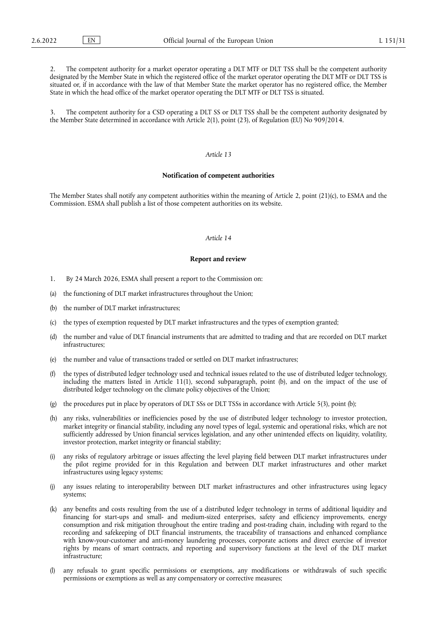The competent authority for a market operator operating a DLT MTF or DLT TSS shall be the competent authority designated by the Member State in which the registered office of the market operator operating the DLT MTF or DLT TSS is situated or, if in accordance with the law of that Member State the market operator has no registered office, the Member State in which the head office of the market operator operating the DLT MTF or DLT TSS is situated.

3. The competent authority for a CSD operating a DLT SS or DLT TSS shall be the competent authority designated by the Member State determined in accordance with Article 2(1), point (23), of Regulation (EU) No 909/2014.

## *Article 13*

#### **Notification of competent authorities**

The Member States shall notify any competent authorities within the meaning of Article 2, point (21)(c), to ESMA and the Commission. ESMA shall publish a list of those competent authorities on its website.

## *Article 14*

#### **Report and review**

- 1. By 24 March 2026, ESMA shall present a report to the Commission on:
- (a) the functioning of DLT market infrastructures throughout the Union;
- (b) the number of DLT market infrastructures;
- (c) the types of exemption requested by DLT market infrastructures and the types of exemption granted;
- (d) the number and value of DLT financial instruments that are admitted to trading and that are recorded on DLT market infrastructures;
- (e) the number and value of transactions traded or settled on DLT market infrastructures;
- (f) the types of distributed ledger technology used and technical issues related to the use of distributed ledger technology, including the matters listed in Article 11(1), second subparagraph, point (b), and on the impact of the use of distributed ledger technology on the climate policy objectives of the Union;
- (g) the procedures put in place by operators of DLT SSs or DLT TSSs in accordance with Article 5(3), point (b);
- (h) any risks, vulnerabilities or inefficiencies posed by the use of distributed ledger technology to investor protection, market integrity or financial stability, including any novel types of legal, systemic and operational risks, which are not sufficiently addressed by Union financial services legislation, and any other unintended effects on liquidity, volatility, investor protection, market integrity or financial stability;
- (i) any risks of regulatory arbitrage or issues affecting the level playing field between DLT market infrastructures under the pilot regime provided for in this Regulation and between DLT market infrastructures and other market infrastructures using legacy systems;
- (j) any issues relating to interoperability between DLT market infrastructures and other infrastructures using legacy systems;
- (k) any benefits and costs resulting from the use of a distributed ledger technology in terms of additional liquidity and financing for start-ups and small- and medium-sized enterprises, safety and efficiency improvements, energy consumption and risk mitigation throughout the entire trading and post-trading chain, including with regard to the recording and safekeeping of DLT financial instruments, the traceability of transactions and enhanced compliance with know-your-customer and anti-money laundering processes, corporate actions and direct exercise of investor rights by means of smart contracts, and reporting and supervisory functions at the level of the DLT market infrastructure;
- (l) any refusals to grant specific permissions or exemptions, any modifications or withdrawals of such specific permissions or exemptions as well as any compensatory or corrective measures;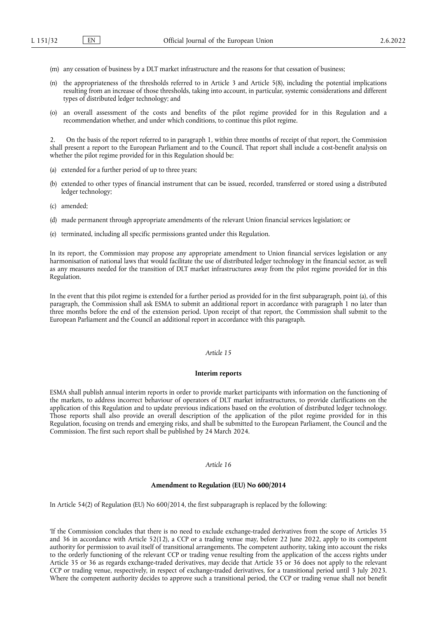- (m) any cessation of business by a DLT market infrastructure and the reasons for that cessation of business;
- (n) the appropriateness of the thresholds referred to in Article 3 and Article 5(8), including the potential implications resulting from an increase of those thresholds, taking into account, in particular, systemic considerations and different types of distributed ledger technology; and
- (o) an overall assessment of the costs and benefits of the pilot regime provided for in this Regulation and a recommendation whether, and under which conditions, to continue this pilot regime.

2. On the basis of the report referred to in paragraph 1, within three months of receipt of that report, the Commission shall present a report to the European Parliament and to the Council. That report shall include a cost-benefit analysis on whether the pilot regime provided for in this Regulation should be:

- (a) extended for a further period of up to three years;
- (b) extended to other types of financial instrument that can be issued, recorded, transferred or stored using a distributed ledger technology;
- (c) amended;
- (d) made permanent through appropriate amendments of the relevant Union financial services legislation; or
- (e) terminated, including all specific permissions granted under this Regulation.

In its report, the Commission may propose any appropriate amendment to Union financial services legislation or any harmonisation of national laws that would facilitate the use of distributed ledger technology in the financial sector, as well as any measures needed for the transition of DLT market infrastructures away from the pilot regime provided for in this Regulation.

In the event that this pilot regime is extended for a further period as provided for in the first subparagraph, point (a), of this paragraph, the Commission shall ask ESMA to submit an additional report in accordance with paragraph 1 no later than three months before the end of the extension period. Upon receipt of that report, the Commission shall submit to the European Parliament and the Council an additional report in accordance with this paragraph.

## *Article 15*

#### **Interim reports**

ESMA shall publish annual interim reports in order to provide market participants with information on the functioning of the markets, to address incorrect behaviour of operators of DLT market infrastructures, to provide clarifications on the application of this Regulation and to update previous indications based on the evolution of distributed ledger technology. Those reports shall also provide an overall description of the application of the pilot regime provided for in this Regulation, focusing on trends and emerging risks, and shall be submitted to the European Parliament, the Council and the Commission. The first such report shall be published by 24 March 2024.

#### *Article 16*

## **Amendment to Regulation (EU) No 600/2014**

In Article 54(2) of Regulation (EU) No 600/2014, the first subparagraph is replaced by the following:

'If the Commission concludes that there is no need to exclude exchange-traded derivatives from the scope of Articles 35 and 36 in accordance with Article 52(12), a CCP or a trading venue may, before 22 June 2022, apply to its competent authority for permission to avail itself of transitional arrangements. The competent authority, taking into account the risks to the orderly functioning of the relevant CCP or trading venue resulting from the application of the access rights under Article 35 or 36 as regards exchange-traded derivatives, may decide that Article 35 or 36 does not apply to the relevant CCP or trading venue, respectively, in respect of exchange-traded derivatives, for a transitional period until 3 July 2023. Where the competent authority decides to approve such a transitional period, the CCP or trading venue shall not benefit